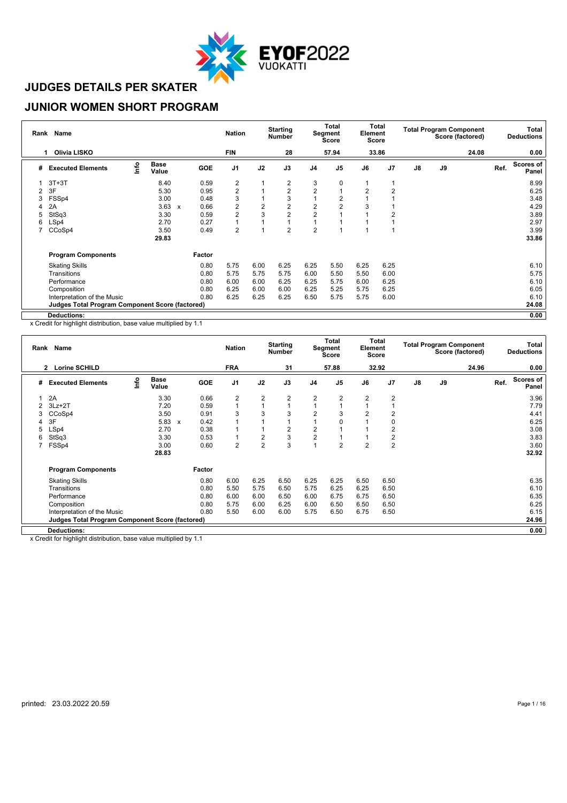

#### **JUNIOR WOMEN SHORT PROGRAM**

|   | Rank Name                                              |      |                      |                           |            | <b>Nation</b>           |                | <b>Starting</b><br><b>Number</b> |                | <b>Total</b><br>Segment<br><b>Score</b> | Element        | Total<br><b>Score</b> |               |    | <b>Total Program Component</b><br>Score (factored) |      | Total<br><b>Deductions</b> |
|---|--------------------------------------------------------|------|----------------------|---------------------------|------------|-------------------------|----------------|----------------------------------|----------------|-----------------------------------------|----------------|-----------------------|---------------|----|----------------------------------------------------|------|----------------------------|
|   | Olivia LISKO<br>-1                                     |      |                      |                           |            | <b>FIN</b>              |                | 28                               |                | 57.94                                   |                | 33.86                 |               |    | 24.08                                              |      | 0.00                       |
| # | <b>Executed Elements</b>                               | lnfo | <b>Base</b><br>Value |                           | <b>GOE</b> | J1                      | J2             | J3                               | J <sub>4</sub> | J <sub>5</sub>                          | J6             | J <sub>7</sub>        | $\mathsf{J}8$ | J9 |                                                    | Ref. | <b>Scores of</b><br>Panel  |
|   | $3T+3T$                                                |      | 8.40                 |                           | 0.59       | 2                       |                | 2                                | 3              | 0                                       |                |                       |               |    |                                                    |      | 8.99                       |
| 2 | 3F                                                     |      | 5.30                 |                           | 0.95       | $\overline{\mathbf{c}}$ |                | 2                                | $\overline{2}$ |                                         | $\overline{2}$ | 2                     |               |    |                                                    |      | 6.25                       |
| 3 | FSSp4                                                  |      | 3.00                 |                           | 0.48       | 3                       |                | 3                                |                |                                         |                |                       |               |    |                                                    |      | 3.48                       |
| 4 | 2A                                                     |      | 3.63                 | $\boldsymbol{\mathsf{x}}$ | 0.66       | $\overline{c}$          | $\overline{2}$ | 2                                | $\overline{2}$ |                                         | 3              |                       |               |    |                                                    |      | 4.29                       |
| 5 | StSq3                                                  |      | 3.30                 |                           | 0.59       | 2                       | 3              | $\overline{2}$                   | $\overline{2}$ |                                         |                | $\overline{2}$        |               |    |                                                    |      | 3.89                       |
| 6 | LSp4                                                   |      | 2.70                 |                           | 0.27       | 1                       |                |                                  |                |                                         |                |                       |               |    |                                                    |      | 2.97                       |
|   | CCoSp4                                                 |      | 3.50                 |                           | 0.49       | $\overline{2}$          |                | $\overline{2}$                   | $\overline{2}$ |                                         |                |                       |               |    |                                                    |      | 3.99                       |
|   |                                                        |      | 29.83                |                           |            |                         |                |                                  |                |                                         |                |                       |               |    |                                                    |      | 33.86                      |
|   | <b>Program Components</b>                              |      |                      |                           | Factor     |                         |                |                                  |                |                                         |                |                       |               |    |                                                    |      |                            |
|   | <b>Skating Skills</b>                                  |      |                      |                           | 0.80       | 5.75                    | 6.00           | 6.25                             | 6.25           | 5.50                                    | 6.25           | 6.25                  |               |    |                                                    |      | 6.10                       |
|   | Transitions                                            |      |                      |                           | 0.80       | 5.75                    | 5.75           | 5.75                             | 6.00           | 5.50                                    | 5.50           | 6.00                  |               |    |                                                    |      | 5.75                       |
|   | Performance                                            |      |                      |                           | 0.80       | 6.00                    | 6.00           | 6.25                             | 6.25           | 5.75                                    | 6.00           | 6.25                  |               |    |                                                    |      | 6.10                       |
|   | Composition                                            |      |                      |                           | 0.80       | 6.25                    | 6.00           | 6.00                             | 6.25           | 5.25                                    | 5.75           | 6.25                  |               |    |                                                    |      | 6.05                       |
|   | Interpretation of the Music                            |      |                      |                           | 0.80       | 6.25                    | 6.25           | 6.25                             | 6.50           | 5.75                                    | 5.75           | 6.00                  |               |    |                                                    |      | 6.10                       |
|   | <b>Judges Total Program Component Score (factored)</b> |      |                      |                           |            |                         |                |                                  |                |                                         |                |                       |               |    |                                                    |      | 24.08                      |
|   | Deductions:                                            |      |                      |                           |            |                         |                |                                  |                |                                         |                |                       |               |    |                                                    |      | 0.00                       |

x Credit for highlight distribution, base value multiplied by 1.1

|   | Rank Name                                       |      |                      |                           |            | <b>Nation</b>  |                | <b>Starting</b><br><b>Number</b> |                | Total<br>Segment<br>Score | Element        | Total<br>Score |               |    | <b>Total Program Component</b><br>Score (factored) |      | Total<br><b>Deductions</b> |
|---|-------------------------------------------------|------|----------------------|---------------------------|------------|----------------|----------------|----------------------------------|----------------|---------------------------|----------------|----------------|---------------|----|----------------------------------------------------|------|----------------------------|
|   | 2 Lorine SCHILD                                 |      |                      |                           |            | <b>FRA</b>     |                | 31                               |                | 57.88                     |                | 32.92          |               |    | 24.96                                              |      | 0.00                       |
| # | <b>Executed Elements</b>                        | ١nfo | <b>Base</b><br>Value |                           | <b>GOE</b> | J <sub>1</sub> | J2             | J3                               | J <sub>4</sub> | J <sub>5</sub>            | J6             | J <sub>7</sub> | $\mathsf{J}8$ | J9 |                                                    | Ref. | <b>Scores of</b><br>Panel  |
|   | 2A                                              |      | 3.30                 |                           | 0.66       | 2              | $\overline{2}$ | 2                                | $\overline{2}$ | $\overline{2}$            | $\overline{2}$ | 2              |               |    |                                                    |      | 3.96                       |
| 2 | $3Lz + 2T$                                      |      | 7.20                 |                           | 0.59       |                | $\overline{A}$ |                                  |                |                           |                |                |               |    |                                                    |      | 7.79                       |
| 3 | CCoSp4                                          |      | 3.50                 |                           | 0.91       | 3              | 3              | 3                                | $\overline{2}$ | 3                         | $\overline{2}$ | 2              |               |    |                                                    |      | 4.41                       |
| 4 | 3F                                              |      | 5.83                 | $\boldsymbol{\mathsf{x}}$ | 0.42       |                |                |                                  |                | $\Omega$                  |                | 0              |               |    |                                                    |      | 6.25                       |
| 5 | LSp4                                            |      | 2.70                 |                           | 0.38       |                |                | 2                                | 2              |                           |                | 2              |               |    |                                                    |      | 3.08                       |
| 6 | StSq3                                           |      | 3.30                 |                           | 0.53       |                | $\overline{2}$ | 3                                | $\overline{2}$ |                           |                | 2              |               |    |                                                    |      | 3.83                       |
|   | FSSp4                                           |      | 3.00                 |                           | 0.60       | $\overline{2}$ | $\overline{2}$ | 3                                |                | $\overline{2}$            | 2              | $\overline{2}$ |               |    |                                                    |      | 3.60                       |
|   |                                                 |      | 28.83                |                           |            |                |                |                                  |                |                           |                |                |               |    |                                                    |      | 32.92                      |
|   | <b>Program Components</b>                       |      |                      |                           | Factor     |                |                |                                  |                |                           |                |                |               |    |                                                    |      |                            |
|   | <b>Skating Skills</b>                           |      |                      |                           | 0.80       | 6.00           | 6.25           | 6.50                             | 6.25           | 6.25                      | 6.50           | 6.50           |               |    |                                                    |      | 6.35                       |
|   | Transitions                                     |      |                      |                           | 0.80       | 5.50           | 5.75           | 6.50                             | 5.75           | 6.25                      | 6.25           | 6.50           |               |    |                                                    |      | 6.10                       |
|   | Performance                                     |      |                      |                           | 0.80       | 6.00           | 6.00           | 6.50                             | 6.00           | 6.75                      | 6.75           | 6.50           |               |    |                                                    |      | 6.35                       |
|   | Composition                                     |      |                      |                           | 0.80       | 5.75           | 6.00           | 6.25                             | 6.00           | 6.50                      | 6.50           | 6.50           |               |    |                                                    |      | 6.25                       |
|   | Interpretation of the Music                     |      |                      |                           | 0.80       | 5.50           | 6.00           | 6.00                             | 5.75           | 6.50                      | 6.75           | 6.50           |               |    |                                                    |      | 6.15                       |
|   | Judges Total Program Component Score (factored) |      |                      |                           |            |                |                |                                  |                |                           |                |                |               |    |                                                    |      | 24.96                      |
|   | <b>Deductions:</b>                              |      |                      |                           |            |                |                |                                  |                |                           |                |                |               |    |                                                    |      | 0.00                       |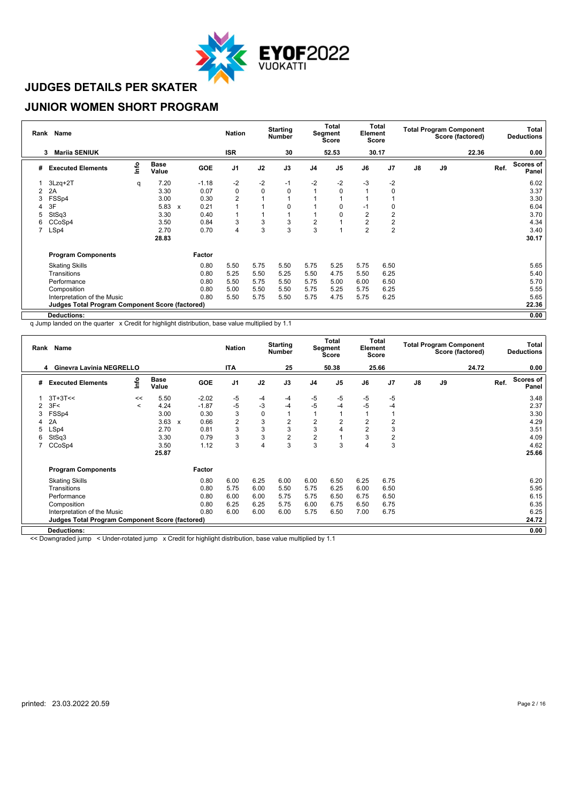

#### **JUNIOR WOMEN SHORT PROGRAM**

|   | Rank Name                                              |      |                      |   |         | <b>Nation</b>  |             | <b>Starting</b><br><b>Number</b> |                | <b>Total</b><br>Segment<br><b>Score</b> | Element        | Total<br>Score |               | <b>Total Program Component</b> | Score (factored) |      | Total<br><b>Deductions</b> |
|---|--------------------------------------------------------|------|----------------------|---|---------|----------------|-------------|----------------------------------|----------------|-----------------------------------------|----------------|----------------|---------------|--------------------------------|------------------|------|----------------------------|
|   | <b>Mariia SENIUK</b><br>3                              |      |                      |   |         | <b>ISR</b>     |             | 30                               |                | 52.53                                   |                | 30.17          |               |                                | 22.36            |      | 0.00                       |
| # | <b>Executed Elements</b>                               | lnfo | <b>Base</b><br>Value |   | GOE     | J1             | J2          | J3                               | J <sub>4</sub> | J <sub>5</sub>                          | J6             | J7             | $\mathsf{J}8$ | J9                             |                  | Ref. | <b>Scores of</b><br>Panel  |
|   | $3Lzq+2T$                                              | q    | 7.20                 |   | $-1.18$ | $-2$           | $-2$        | -1                               | $-2$           | $-2$                                    | $-3$           | $-2$           |               |                                |                  |      | 6.02                       |
| 2 | 2A                                                     |      | 3.30                 |   | 0.07    | $\pmb{0}$      | $\mathbf 0$ | 0                                | $\overline{ }$ | $\Omega$                                |                | 0              |               |                                |                  |      | 3.37                       |
| 3 | FSSp4                                                  |      | 3.00                 |   | 0.30    | $\overline{2}$ |             |                                  |                |                                         |                |                |               |                                |                  |      | 3.30                       |
| 4 | 3F                                                     |      | 5.83                 | x | 0.21    | 1              |             | $\Omega$                         |                |                                         | $-1$           | 0              |               |                                |                  |      | 6.04                       |
| 5 | StSq3                                                  |      | 3.30                 |   | 0.40    | 1              |             |                                  |                |                                         | 2              | 2              |               |                                |                  |      | 3.70                       |
| 6 | CCoSp4                                                 |      | 3.50                 |   | 0.84    | 3              | 3           | 3                                | $\overline{2}$ |                                         | 2              | 2              |               |                                |                  |      | 4.34                       |
|   | LSp4                                                   |      | 2.70                 |   | 0.70    | 4              | 3           | 3                                | 3              |                                         | $\overline{2}$ | $\overline{2}$ |               |                                |                  |      | 3.40                       |
|   |                                                        |      | 28.83                |   |         |                |             |                                  |                |                                         |                |                |               |                                |                  |      | 30.17                      |
|   | <b>Program Components</b>                              |      |                      |   | Factor  |                |             |                                  |                |                                         |                |                |               |                                |                  |      |                            |
|   | <b>Skating Skills</b>                                  |      |                      |   | 0.80    | 5.50           | 5.75        | 5.50                             | 5.75           | 5.25                                    | 5.75           | 6.50           |               |                                |                  |      | 5.65                       |
|   | Transitions                                            |      |                      |   | 0.80    | 5.25           | 5.50        | 5.25                             | 5.50           | 4.75                                    | 5.50           | 6.25           |               |                                |                  |      | 5.40                       |
|   | Performance                                            |      |                      |   | 0.80    | 5.50           | 5.75        | 5.50                             | 5.75           | 5.00                                    | 6.00           | 6.50           |               |                                |                  |      | 5.70                       |
|   | Composition                                            |      |                      |   | 0.80    | 5.00           | 5.50        | 5.50                             | 5.75           | 5.25                                    | 5.75           | 6.25           |               |                                |                  |      | 5.55                       |
|   | Interpretation of the Music                            |      |                      |   | 0.80    | 5.50           | 5.75        | 5.50                             | 5.75           | 4.75                                    | 5.75           | 6.25           |               |                                |                  |      | 5.65                       |
|   | <b>Judges Total Program Component Score (factored)</b> |      |                      |   |         |                |             |                                  |                |                                         |                |                |               |                                |                  |      | 22.36                      |
|   | Deductions:                                            |      |                      |   |         |                |             |                                  |                |                                         |                |                |               |                                |                  |      | 0.00                       |

q Jump landed on the quarter x Credit for highlight distribution, base value multiplied by 1.1

|   | Rank Name                                              |         |                      |              |            | <b>Nation</b>  |             | <b>Starting</b><br><b>Number</b> |                         | Total<br>Segment<br><b>Score</b> | Element        | Total<br>Score |               |               | <b>Total Program Component</b><br>Score (factored) |      | <b>Total</b><br><b>Deductions</b> |
|---|--------------------------------------------------------|---------|----------------------|--------------|------------|----------------|-------------|----------------------------------|-------------------------|----------------------------------|----------------|----------------|---------------|---------------|----------------------------------------------------|------|-----------------------------------|
|   | Ginevra Lavinia NEGRELLO<br>4                          |         |                      |              |            | <b>ITA</b>     |             | 25                               |                         | 50.38                            |                | 25.66          |               |               | 24.72                                              |      | 0.00                              |
| # | <b>Executed Elements</b>                               | lnfo    | <b>Base</b><br>Value |              | <b>GOE</b> | J <sub>1</sub> | J2          | J3                               | J <sub>4</sub>          | J <sub>5</sub>                   | J6             | J <sub>7</sub> | $\mathsf{J}8$ | $\mathsf{J}9$ |                                                    | Ref. | <b>Scores of</b><br>Panel         |
|   | $3T+3T<<$                                              | <<      | 5.50                 |              | $-2.02$    | $-5$           | -4          | $-4$                             | $-5$                    | $-5$                             | -5             | $-5$           |               |               |                                                    |      | 3.48                              |
| 2 | 3F<                                                    | $\prec$ | 4.24                 |              | $-1.87$    | $-5$           | $-3$        | $-4$                             | $-5$                    | $-4$                             | $-5$           | -4             |               |               |                                                    |      | 2.37                              |
|   | FSSp4                                                  |         | 3.00                 |              | 0.30       | 3              | $\mathbf 0$ | 1                                |                         |                                  |                |                |               |               |                                                    |      | 3.30                              |
|   | 2A                                                     |         | 3.63                 | $\mathbf{x}$ | 0.66       | $\overline{2}$ | 3           | $\overline{c}$                   | 2                       | $\overline{2}$                   | $\overline{2}$ | 2              |               |               |                                                    |      | 4.29                              |
|   | LSp4                                                   |         | 2.70                 |              | 0.81       | 3              | 3           | 3                                | 3                       | $\overline{4}$                   | $\overline{2}$ | 3              |               |               |                                                    |      | 3.51                              |
| 6 | StSq3                                                  |         | 3.30                 |              | 0.79       | 3              | 3           | $\overline{2}$                   | $\overline{\mathbf{c}}$ |                                  | 3              | 2              |               |               |                                                    |      | 4.09                              |
|   | CCoSp4                                                 |         | 3.50                 |              | 1.12       | 3              | 4           | 3                                | 3                       | 3                                |                | 3              |               |               |                                                    |      | 4.62                              |
|   |                                                        |         | 25.87                |              |            |                |             |                                  |                         |                                  |                |                |               |               |                                                    |      | 25.66                             |
|   | <b>Program Components</b>                              |         |                      |              | Factor     |                |             |                                  |                         |                                  |                |                |               |               |                                                    |      |                                   |
|   | <b>Skating Skills</b>                                  |         |                      |              | 0.80       | 6.00           | 6.25        | 6.00                             | 6.00                    | 6.50                             | 6.25           | 6.75           |               |               |                                                    |      | 6.20                              |
|   | Transitions                                            |         |                      |              | 0.80       | 5.75           | 6.00        | 5.50                             | 5.75                    | 6.25                             | 6.00           | 6.50           |               |               |                                                    |      | 5.95                              |
|   | Performance                                            |         |                      |              | 0.80       | 6.00           | 6.00        | 5.75                             | 5.75                    | 6.50                             | 6.75           | 6.50           |               |               |                                                    |      | 6.15                              |
|   | Composition                                            |         |                      |              | 0.80       | 6.25           | 6.25        | 5.75                             | 6.00                    | 6.75                             | 6.50           | 6.75           |               |               |                                                    |      | 6.35                              |
|   | Interpretation of the Music                            |         |                      |              | 0.80       | 6.00           | 6.00        | 6.00                             | 5.75                    | 6.50                             | 7.00           | 6.75           |               |               |                                                    |      | 6.25                              |
|   | <b>Judges Total Program Component Score (factored)</b> |         |                      |              |            |                |             |                                  |                         |                                  |                |                |               |               |                                                    |      | 24.72                             |
|   | <b>Deductions:</b>                                     |         |                      |              |            |                |             |                                  |                         |                                  |                |                |               |               |                                                    |      | 0.00                              |

<< Downgraded jump < Under-rotated jump x Credit for highlight distribution, base value multiplied by 1.1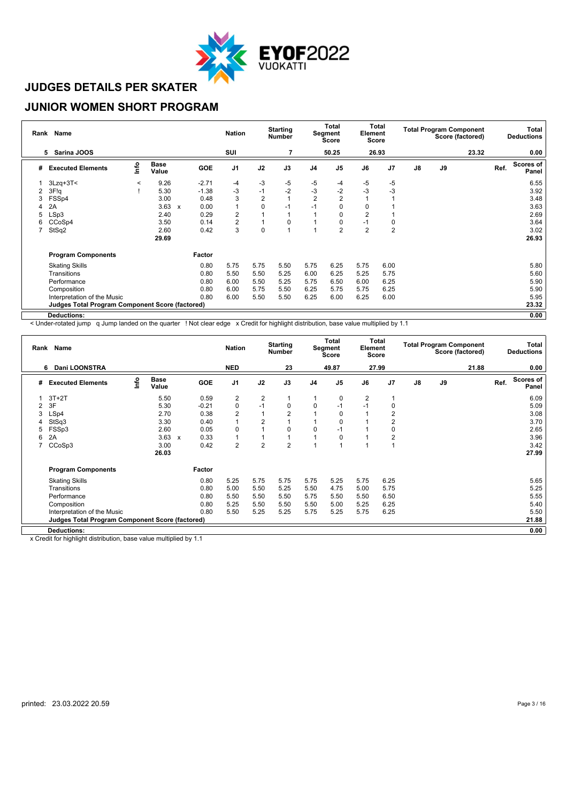

#### **JUNIOR WOMEN SHORT PROGRAM**

|   | Rank Name                                              |         |                      |                                   | <b>Nation</b>  |                | <b>Starting</b><br><b>Number</b> |                | <b>Total</b><br>Segment<br><b>Score</b> | Element        | Total<br><b>Score</b> |               |    | <b>Total Program Component</b><br>Score (factored) |      | Total<br><b>Deductions</b> |
|---|--------------------------------------------------------|---------|----------------------|-----------------------------------|----------------|----------------|----------------------------------|----------------|-----------------------------------------|----------------|-----------------------|---------------|----|----------------------------------------------------|------|----------------------------|
|   | Sarina JOOS<br>5                                       |         |                      |                                   | SUI            |                | 7                                |                | 50.25                                   |                | 26.93                 |               |    | 23.32                                              |      | 0.00                       |
| # | <b>Executed Elements</b>                               | lnfo    | <b>Base</b><br>Value | GOE                               | J1             | J2             | J3                               | J <sub>4</sub> | J <sub>5</sub>                          | J6             | J <sub>7</sub>        | $\mathsf{J}8$ | J9 |                                                    | Ref. | <b>Scores of</b><br>Panel  |
|   | $3Lzq+3T<$                                             | $\prec$ | 9.26                 | $-2.71$                           | $-4$           | $-3$           | $-5$                             | $-5$           | -4                                      | -5             | -5                    |               |    |                                                    |      | 6.55                       |
| 2 | 3F!q                                                   |         | 5.30                 | $-1.38$                           | $-3$           | $-1$           | $-2$                             | $-3$           | -2                                      | $-3$           | -3                    |               |    |                                                    |      | 3.92                       |
| 3 | FSSp4                                                  |         | 3.00                 | 0.48                              | 3              | $\overline{2}$ |                                  | $\overline{2}$ | $\overline{2}$                          |                |                       |               |    |                                                    |      | 3.48                       |
| 4 | 2A                                                     |         | 3.63                 | 0.00<br>$\boldsymbol{\mathsf{x}}$ | $\overline{1}$ | $\Omega$       | -1                               | $-1$           |                                         | $\Omega$       |                       |               |    |                                                    |      | 3.63                       |
| 5 | LSp3                                                   |         | 2.40                 | 0.29                              | 2              |                |                                  |                |                                         | $\overline{2}$ |                       |               |    |                                                    |      | 2.69                       |
| 6 | CCoSp4                                                 |         | 3.50                 | 0.14                              | 2              |                | 0                                |                | 0                                       | $-1$           | 0                     |               |    |                                                    |      | 3.64                       |
|   | StSq2                                                  |         | 2.60                 | 0.42                              | 3              | $\mathbf 0$    |                                  |                | 2                                       | $\overline{2}$ | $\overline{2}$        |               |    |                                                    |      | 3.02                       |
|   |                                                        |         | 29.69                |                                   |                |                |                                  |                |                                         |                |                       |               |    |                                                    |      | 26.93                      |
|   | <b>Program Components</b>                              |         |                      | Factor                            |                |                |                                  |                |                                         |                |                       |               |    |                                                    |      |                            |
|   | <b>Skating Skills</b>                                  |         |                      | 0.80                              | 5.75           | 5.75           | 5.50                             | 5.75           | 6.25                                    | 5.75           | 6.00                  |               |    |                                                    |      | 5.80                       |
|   | Transitions                                            |         |                      | 0.80                              | 5.50           | 5.50           | 5.25                             | 6.00           | 6.25                                    | 5.25           | 5.75                  |               |    |                                                    |      | 5.60                       |
|   | Performance                                            |         |                      | 0.80                              | 6.00           | 5.50           | 5.25                             | 5.75           | 6.50                                    | 6.00           | 6.25                  |               |    |                                                    |      | 5.90                       |
|   | Composition                                            |         |                      | 0.80                              | 6.00           | 5.75           | 5.50                             | 6.25           | 5.75                                    | 5.75           | 6.25                  |               |    |                                                    |      | 5.90                       |
|   | Interpretation of the Music                            |         |                      | 0.80                              | 6.00           | 5.50           | 5.50                             | 6.25           | 6.00                                    | 6.25           | 6.00                  |               |    |                                                    |      | 5.95                       |
|   | <b>Judges Total Program Component Score (factored)</b> |         |                      |                                   |                |                |                                  |                |                                         |                |                       |               |    |                                                    |      | 23.32                      |
|   | Deductions:                                            |         |                      |                                   |                |                |                                  |                |                                         |                |                       |               |    |                                                    |      | 0.00                       |

< Under-rotated jump q Jump landed on the quarter ! Not clear edge x Credit for highlight distribution, base value multiplied by 1.1

|   | Rank Name                                              |      |                      |              |            | <b>Nation</b>  |                | <b>Starting</b><br><b>Number</b> |                | <b>Total</b><br><b>Segment</b><br>Score | Element        | Total<br>Score |    |    | <b>Total Program Component</b><br>Score (factored) |      | Total<br><b>Deductions</b> |
|---|--------------------------------------------------------|------|----------------------|--------------|------------|----------------|----------------|----------------------------------|----------------|-----------------------------------------|----------------|----------------|----|----|----------------------------------------------------|------|----------------------------|
|   | <b>Dani LOONSTRA</b><br>6                              |      |                      |              |            | <b>NED</b>     |                | 23                               |                | 49.87                                   |                | 27.99          |    |    | 21.88                                              |      | 0.00                       |
| # | <b>Executed Elements</b>                               | lnfo | <b>Base</b><br>Value |              | <b>GOE</b> | J <sub>1</sub> | J2             | J3                               | J <sub>4</sub> | J <sub>5</sub>                          | J6             | J <sub>7</sub> | J8 | J9 |                                                    | Ref. | <b>Scores of</b><br>Panel  |
|   | $3T+2T$                                                |      | 5.50                 |              | 0.59       | $\overline{2}$ | $\overline{2}$ |                                  |                | 0                                       | $\overline{2}$ |                |    |    |                                                    |      | 6.09                       |
| 2 | 3F                                                     |      | 5.30                 |              | $-0.21$    | $\pmb{0}$      | $-1$           | 0                                | 0              | $-1$                                    | $-1$           | 0              |    |    |                                                    |      | 5.09                       |
| 3 | LSp4                                                   |      | 2.70                 |              | 0.38       | $\overline{2}$ |                | $\overline{2}$                   |                | 0                                       |                | 2              |    |    |                                                    |      | 3.08                       |
| 4 | StSq3                                                  |      | 3.30                 |              | 0.40       |                | $\overline{2}$ |                                  |                | 0                                       |                | 2              |    |    |                                                    |      | 3.70                       |
|   | FSSp3                                                  |      | 2.60                 |              | 0.05       | $\mathbf 0$    |                | 0                                | 0              | $-1$                                    |                | 0              |    |    |                                                    |      | 2.65                       |
| 6 | 2A                                                     |      | 3.63                 | $\mathbf{x}$ | 0.33       |                |                |                                  |                | 0                                       |                | 2              |    |    |                                                    |      | 3.96                       |
|   | CCoSp3                                                 |      | 3.00                 |              | 0.42       | $\overline{2}$ | $\overline{2}$ | $\overline{2}$                   |                |                                         |                |                |    |    |                                                    |      | 3.42                       |
|   |                                                        |      | 26.03                |              |            |                |                |                                  |                |                                         |                |                |    |    |                                                    |      | 27.99                      |
|   | <b>Program Components</b>                              |      |                      |              | Factor     |                |                |                                  |                |                                         |                |                |    |    |                                                    |      |                            |
|   | <b>Skating Skills</b>                                  |      |                      |              | 0.80       | 5.25           | 5.75           | 5.75                             | 5.75           | 5.25                                    | 5.75           | 6.25           |    |    |                                                    |      | 5.65                       |
|   | Transitions                                            |      |                      |              | 0.80       | 5.00           | 5.50           | 5.25                             | 5.50           | 4.75                                    | 5.00           | 5.75           |    |    |                                                    |      | 5.25                       |
|   | Performance                                            |      |                      |              | 0.80       | 5.50           | 5.50           | 5.50                             | 5.75           | 5.50                                    | 5.50           | 6.50           |    |    |                                                    |      | 5.55                       |
|   | Composition                                            |      |                      |              | 0.80       | 5.25           | 5.50           | 5.50                             | 5.50           | 5.00                                    | 5.25           | 6.25           |    |    |                                                    |      | 5.40                       |
|   | Interpretation of the Music                            |      |                      |              | 0.80       | 5.50           | 5.25           | 5.25                             | 5.75           | 5.25                                    | 5.75           | 6.25           |    |    |                                                    |      | 5.50                       |
|   | <b>Judges Total Program Component Score (factored)</b> |      |                      |              |            |                |                |                                  |                |                                         |                |                |    |    |                                                    |      | 21.88                      |
|   | <b>Deductions:</b>                                     |      |                      |              |            |                |                |                                  |                |                                         |                |                |    |    |                                                    |      | 0.00                       |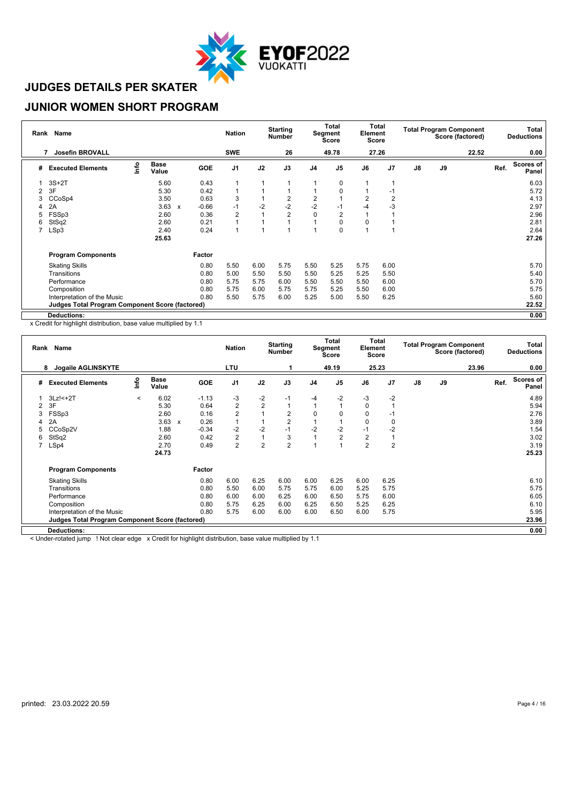

#### **JUNIOR WOMEN SHORT PROGRAM**

|   | Rank Name                                              |      |                      |   |            | <b>Nation</b> |      | <b>Starting</b><br><b>Number</b> |                | <b>Total</b><br>Segment<br><b>Score</b> | Element  | Total<br><b>Score</b> |               |    | <b>Total Program Component</b><br>Score (factored) |      | Total<br><b>Deductions</b> |
|---|--------------------------------------------------------|------|----------------------|---|------------|---------------|------|----------------------------------|----------------|-----------------------------------------|----------|-----------------------|---------------|----|----------------------------------------------------|------|----------------------------|
|   | <b>Josefin BROVALL</b>                                 |      |                      |   |            | <b>SWE</b>    |      | 26                               |                | 49.78                                   |          | 27.26                 |               |    | 22.52                                              |      | 0.00                       |
| # | <b>Executed Elements</b>                               | lnfo | <b>Base</b><br>Value |   | <b>GOE</b> | J1            | J2   | J3                               | J <sub>4</sub> | J <sub>5</sub>                          | J6       | J <sub>7</sub>        | $\mathsf{J}8$ | J9 |                                                    | Ref. | <b>Scores of</b><br>Panel  |
|   | $3S+2T$                                                |      | 5.60                 |   | 0.43       | 1             |      |                                  |                | 0                                       |          |                       |               |    |                                                    |      | 6.03                       |
| 2 | 3F                                                     |      | 5.30                 |   | 0.42       | 1             |      |                                  |                |                                         |          | -1                    |               |    |                                                    |      | 5.72                       |
| 3 | CCoSp4                                                 |      | 3.50                 |   | 0.63       | 3             |      | $\overline{2}$                   | $\overline{2}$ |                                         | 2        | $\overline{2}$        |               |    |                                                    |      | 4.13                       |
| 4 | 2A                                                     |      | 3.63                 | X | $-0.66$    | $-1$          | $-2$ | $-2$                             | $-2$           | -1                                      | $-4$     | -3                    |               |    |                                                    |      | 2.97                       |
| 5 | FSSp3                                                  |      | 2.60                 |   | 0.36       | 2             |      | $\overline{2}$                   | 0              | $\overline{2}$                          |          |                       |               |    |                                                    |      | 2.96                       |
| 6 | StSq2                                                  |      | 2.60                 |   | 0.21       | 1             |      |                                  |                | O                                       | $\Omega$ |                       |               |    |                                                    |      | 2.81                       |
|   | LSp3                                                   |      | 2.40                 |   | 0.24       | 1             |      |                                  |                | $\Omega$                                |          |                       |               |    |                                                    |      | 2.64                       |
|   |                                                        |      | 25.63                |   |            |               |      |                                  |                |                                         |          |                       |               |    |                                                    |      | 27.26                      |
|   | <b>Program Components</b>                              |      |                      |   | Factor     |               |      |                                  |                |                                         |          |                       |               |    |                                                    |      |                            |
|   | <b>Skating Skills</b>                                  |      |                      |   | 0.80       | 5.50          | 6.00 | 5.75                             | 5.50           | 5.25                                    | 5.75     | 6.00                  |               |    |                                                    |      | 5.70                       |
|   | Transitions                                            |      |                      |   | 0.80       | 5.00          | 5.50 | 5.50                             | 5.50           | 5.25                                    | 5.25     | 5.50                  |               |    |                                                    |      | 5.40                       |
|   | Performance                                            |      |                      |   | 0.80       | 5.75          | 5.75 | 6.00                             | 5.50           | 5.50                                    | 5.50     | 6.00                  |               |    |                                                    |      | 5.70                       |
|   | Composition                                            |      |                      |   | 0.80       | 5.75          | 6.00 | 5.75                             | 5.75           | 5.25                                    | 5.50     | 6.00                  |               |    |                                                    |      | 5.75                       |
|   | Interpretation of the Music                            |      |                      |   | 0.80       | 5.50          | 5.75 | 6.00                             | 5.25           | 5.00                                    | 5.50     | 6.25                  |               |    |                                                    |      | 5.60                       |
|   | <b>Judges Total Program Component Score (factored)</b> |      |                      |   |            |               |      |                                  |                |                                         |          |                       |               |    |                                                    |      | 22.52                      |
|   | Deductions:                                            |      |                      |   |            |               |      |                                  |                |                                         |          |                       |               |    |                                                    |      | 0.00                       |

x Credit for highlight distribution, base value multiplied by 1.1

|   | Rank Name                                              |         |                      |              |         | <b>Nation</b>  |                | <b>Starting</b><br><b>Number</b> |                | <b>Total</b><br>Segment<br><b>Score</b> | Element        | Total<br><b>Score</b> |    |    | <b>Total Program Component</b><br>Score (factored) |      | Total<br><b>Deductions</b> |
|---|--------------------------------------------------------|---------|----------------------|--------------|---------|----------------|----------------|----------------------------------|----------------|-----------------------------------------|----------------|-----------------------|----|----|----------------------------------------------------|------|----------------------------|
|   | Jogaile AGLINSKYTE<br>8                                |         |                      |              |         | LTU            |                |                                  |                | 49.19                                   |                | 25.23                 |    |    | 23.96                                              |      | 0.00                       |
| # | <b>Executed Elements</b>                               | Info    | <b>Base</b><br>Value |              | GOE     | J <sub>1</sub> | J2             | J3                               | J <sub>4</sub> | J <sub>5</sub>                          | J6             | J <sub>7</sub>        | J8 | J9 |                                                    | Ref. | <b>Scores of</b><br>Panel  |
|   | $3Lz$ !< $+2T$                                         | $\prec$ | 6.02                 |              | $-1.13$ | -3             | $-2$           | $-1$                             | -4             | $-2$                                    | $-3$           | $-2$                  |    |    |                                                    |      | 4.89                       |
| 2 | 3F                                                     |         | 5.30                 |              | 0.64    | $\overline{2}$ | $\overline{2}$ | 1                                |                |                                         | 0              |                       |    |    |                                                    |      | 5.94                       |
| 3 | FSSp3                                                  |         | 2.60                 |              | 0.16    | $\overline{2}$ |                | $\overline{2}$                   | 0              | 0                                       | 0              | -1                    |    |    |                                                    |      | 2.76                       |
| 4 | 2A                                                     |         | 3.63                 | $\mathbf{x}$ | 0.26    | 1              |                | $\overline{2}$                   |                |                                         | $\Omega$       | $\Omega$              |    |    |                                                    |      | 3.89                       |
| b | CCoSp2V                                                |         | 1.88                 |              | $-0.34$ | $-2$           | $-2$           | $-1$                             | $-2$           | $-2$                                    | $-1$           | $-2$                  |    |    |                                                    |      | 1.54                       |
| 6 | StSq2                                                  |         | 2.60                 |              | 0.42    | $\overline{c}$ |                | 3                                | и              | 2                                       | 2              |                       |    |    |                                                    |      | 3.02                       |
|   | LSp4                                                   |         | 2.70                 |              | 0.49    | $\overline{2}$ | $\overline{2}$ | $\overline{2}$                   |                |                                         | $\overline{2}$ | $\overline{2}$        |    |    |                                                    |      | 3.19                       |
|   |                                                        |         | 24.73                |              |         |                |                |                                  |                |                                         |                |                       |    |    |                                                    |      | 25.23                      |
|   | <b>Program Components</b>                              |         |                      |              | Factor  |                |                |                                  |                |                                         |                |                       |    |    |                                                    |      |                            |
|   | <b>Skating Skills</b>                                  |         |                      |              | 0.80    | 6.00           | 6.25           | 6.00                             | 6.00           | 6.25                                    | 6.00           | 6.25                  |    |    |                                                    |      | 6.10                       |
|   | Transitions                                            |         |                      |              | 0.80    | 5.50           | 6.00           | 5.75                             | 5.75           | 6.00                                    | 5.25           | 5.75                  |    |    |                                                    |      | 5.75                       |
|   | Performance                                            |         |                      |              | 0.80    | 6.00           | 6.00           | 6.25                             | 6.00           | 6.50                                    | 5.75           | 6.00                  |    |    |                                                    |      | 6.05                       |
|   | Composition                                            |         |                      |              | 0.80    | 5.75           | 6.25           | 6.00                             | 6.25           | 6.50                                    | 5.25           | 6.25                  |    |    |                                                    |      | 6.10                       |
|   | Interpretation of the Music                            |         |                      |              | 0.80    | 5.75           | 6.00           | 6.00                             | 6.00           | 6.50                                    | 6.00           | 5.75                  |    |    |                                                    |      | 5.95                       |
|   | <b>Judges Total Program Component Score (factored)</b> |         |                      |              |         |                |                |                                  |                |                                         |                |                       |    |    |                                                    |      | 23.96                      |
|   | <b>Deductions:</b>                                     |         |                      |              |         |                |                |                                  |                |                                         |                |                       |    |    |                                                    |      | 0.00                       |

< Under-rotated jump ! Not clear edge x Credit for highlight distribution, base value multiplied by 1.1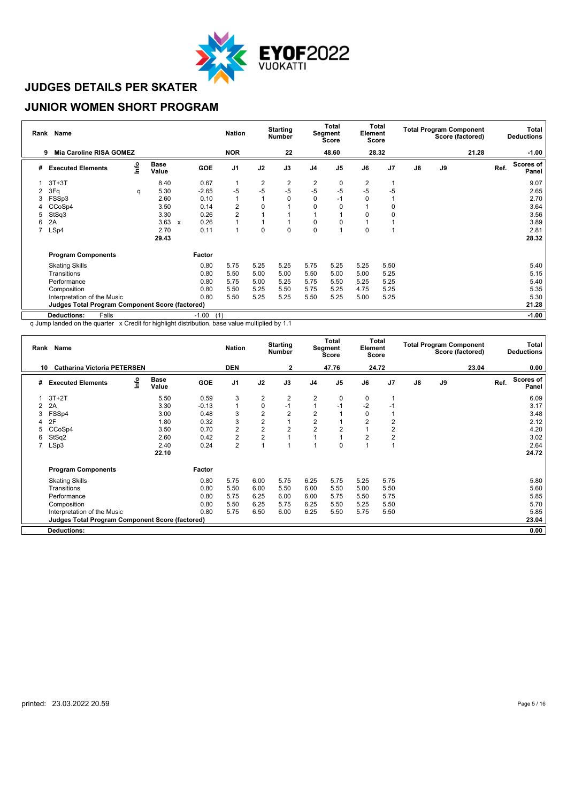

#### **JUNIOR WOMEN SHORT PROGRAM**

|   | Rank Name                                              |      |                      |                           |                | <b>Nation</b>  |                | <b>Starting</b><br><b>Number</b> |                | <b>Total</b><br>Segment<br>Score | Element | Total<br><b>Score</b> |               |    | <b>Total Program Component</b><br>Score (factored) |      | Total<br><b>Deductions</b> |
|---|--------------------------------------------------------|------|----------------------|---------------------------|----------------|----------------|----------------|----------------------------------|----------------|----------------------------------|---------|-----------------------|---------------|----|----------------------------------------------------|------|----------------------------|
|   | <b>Mia Caroline RISA GOMEZ</b><br>9                    |      |                      |                           |                | <b>NOR</b>     |                | 22                               |                | 48.60                            |         | 28.32                 |               |    | 21.28                                              |      | $-1.00$                    |
| # | <b>Executed Elements</b>                               | lnfo | <b>Base</b><br>Value |                           | <b>GOE</b>     | J <sub>1</sub> | J2             | J3                               | J <sub>4</sub> | J <sub>5</sub>                   | J6      | J7                    | $\mathsf{J}8$ | J9 |                                                    | Ref. | <b>Scores of</b><br>Panel  |
|   | $3T+3T$                                                |      | 8.40                 |                           | 0.67           |                | $\overline{c}$ | 2                                | 2              | 0                                | 2       |                       |               |    |                                                    |      | 9.07                       |
|   | 3Fq                                                    | q    | 5.30                 |                           | $-2.65$        | $-5$           | $-5$           | -5                               | $-5$           | $-5$                             | $-5$    | -5                    |               |    |                                                    |      | 2.65                       |
|   | FSSp3                                                  |      | 2.60                 |                           | 0.10           |                |                | O                                | $\Omega$       | $-1$                             | 0       |                       |               |    |                                                    |      | 2.70                       |
|   | CCoSp4                                                 |      | 3.50                 |                           | 0.14           | 2              | 0              |                                  | O              | $\Omega$                         |         | 0                     |               |    |                                                    |      | 3.64                       |
| 5 | StSq3                                                  |      | 3.30                 |                           | 0.26           | $\overline{2}$ |                |                                  |                |                                  | U       | 0                     |               |    |                                                    |      | 3.56                       |
| 6 | 2A                                                     |      | 3.63                 | $\boldsymbol{\mathsf{x}}$ | 0.26           |                |                |                                  | 0              | O                                |         |                       |               |    |                                                    |      | 3.89                       |
|   | LSp4                                                   |      | 2.70                 |                           | 0.11           |                | $\mathbf 0$    | $\Omega$                         | $\Omega$       |                                  | 0       |                       |               |    |                                                    |      | 2.81                       |
|   |                                                        |      | 29.43                |                           |                |                |                |                                  |                |                                  |         |                       |               |    |                                                    |      | 28.32                      |
|   | <b>Program Components</b>                              |      |                      |                           | Factor         |                |                |                                  |                |                                  |         |                       |               |    |                                                    |      |                            |
|   | <b>Skating Skills</b>                                  |      |                      |                           | 0.80           | 5.75           | 5.25           | 5.25                             | 5.75           | 5.25                             | 5.25    | 5.50                  |               |    |                                                    |      | 5.40                       |
|   | Transitions                                            |      |                      |                           | 0.80           | 5.50           | 5.00           | 5.00                             | 5.50           | 5.00                             | 5.00    | 5.25                  |               |    |                                                    |      | 5.15                       |
|   | Performance                                            |      |                      |                           | 0.80           | 5.75           | 5.00           | 5.25                             | 5.75           | 5.50                             | 5.25    | 5.25                  |               |    |                                                    |      | 5.40                       |
|   | Composition                                            |      |                      |                           | 0.80           | 5.50           | 5.25           | 5.50                             | 5.75           | 5.25                             | 4.75    | 5.25                  |               |    |                                                    |      | 5.35                       |
|   | Interpretation of the Music                            |      |                      |                           | 0.80           | 5.50           | 5.25           | 5.25                             | 5.50           | 5.25                             | 5.00    | 5.25                  |               |    |                                                    |      | 5.30                       |
|   | <b>Judges Total Program Component Score (factored)</b> |      |                      |                           |                |                |                |                                  |                |                                  |         |                       |               |    |                                                    |      | 21.28                      |
|   | <b>Deductions:</b><br>Falls                            |      |                      |                           | $-1.00$<br>(1) |                |                |                                  |                |                                  |         |                       |               |    |                                                    |      | $-1.00$                    |

q Jump landed on the quarter x Credit for highlight distribution, base value multiplied by 1.1

|    | Rank Name                                              |      |                      |         | <b>Nation</b>  |                | <b>Starting</b><br><b>Number</b> |                         | Total<br><b>Segment</b><br><b>Score</b> | Element | Total<br>Score |                |    | <b>Total Program Component</b><br>Score (factored) |      | Total<br><b>Deductions</b> |
|----|--------------------------------------------------------|------|----------------------|---------|----------------|----------------|----------------------------------|-------------------------|-----------------------------------------|---------|----------------|----------------|----|----------------------------------------------------|------|----------------------------|
| 10 | <b>Catharina Victoria PETERSEN</b>                     |      |                      |         | <b>DEN</b>     |                | 2                                |                         | 47.76                                   |         | 24.72          |                |    | 23.04                                              |      | 0.00                       |
| #  | <b>Executed Elements</b>                               | Info | <b>Base</b><br>Value | GOE     | J <sub>1</sub> | J2             | J3                               | J <sub>4</sub>          | J <sub>5</sub>                          | J6      | J7             | $\mathbf{J}$ 8 | J9 |                                                    | Ref. | <b>Scores of</b><br>Panel  |
|    | $3T+2T$                                                |      | 5.50                 | 0.59    | 3              | $\overline{2}$ | 2                                | $\overline{2}$          | 0                                       | 0       |                |                |    |                                                    |      | 6.09                       |
| 2  | 2A                                                     |      | 3.30                 | $-0.13$ |                | 0              | $-1$                             |                         | $-1$                                    | $-2$    | $-1$           |                |    |                                                    |      | 3.17                       |
| 3  | FSSp4                                                  |      | 3.00                 | 0.48    | 3              | $\overline{2}$ | $\overline{2}$                   | $\overline{2}$          |                                         | 0       |                |                |    |                                                    |      | 3.48                       |
|    | 2F                                                     |      | 1.80                 | 0.32    | 3              | $\overline{2}$ |                                  | $\overline{\mathbf{c}}$ |                                         | 2       | $\overline{2}$ |                |    |                                                    |      | 2.12                       |
| 5  | CCoSp4                                                 |      | 3.50                 | 0.70    | $\overline{c}$ | $\overline{2}$ | $\overline{2}$                   | $\overline{2}$          | $\overline{2}$                          |         | $\overline{2}$ |                |    |                                                    |      | 4.20                       |
| 6  | StSq2                                                  |      | 2.60                 | 0.42    | $\overline{2}$ | $\overline{2}$ |                                  |                         |                                         | 2       | 2              |                |    |                                                    |      | 3.02                       |
| 7  | LSp3                                                   |      | 2.40                 | 0.24    | $\overline{2}$ |                |                                  |                         | 0                                       |         |                |                |    |                                                    |      | 2.64                       |
|    |                                                        |      | 22.10                |         |                |                |                                  |                         |                                         |         |                |                |    |                                                    |      | 24.72                      |
|    | <b>Program Components</b>                              |      |                      | Factor  |                |                |                                  |                         |                                         |         |                |                |    |                                                    |      |                            |
|    | <b>Skating Skills</b>                                  |      |                      | 0.80    | 5.75           | 6.00           | 5.75                             | 6.25                    | 5.75                                    | 5.25    | 5.75           |                |    |                                                    |      | 5.80                       |
|    | Transitions                                            |      |                      | 0.80    | 5.50           | 6.00           | 5.50                             | 6.00                    | 5.50                                    | 5.00    | 5.50           |                |    |                                                    |      | 5.60                       |
|    | Performance                                            |      |                      | 0.80    | 5.75           | 6.25           | 6.00                             | 6.00                    | 5.75                                    | 5.50    | 5.75           |                |    |                                                    |      | 5.85                       |
|    | Composition                                            |      |                      | 0.80    | 5.50           | 6.25           | 5.75                             | 6.25                    | 5.50                                    | 5.25    | 5.50           |                |    |                                                    |      | 5.70                       |
|    | Interpretation of the Music                            |      |                      | 0.80    | 5.75           | 6.50           | 6.00                             | 6.25                    | 5.50                                    | 5.75    | 5.50           |                |    |                                                    |      | 5.85                       |
|    | <b>Judges Total Program Component Score (factored)</b> |      |                      |         |                |                |                                  |                         |                                         |         |                |                |    |                                                    |      | 23.04                      |
|    | <b>Deductions:</b>                                     |      |                      |         |                |                |                                  |                         |                                         |         |                |                |    |                                                    |      | 0.00                       |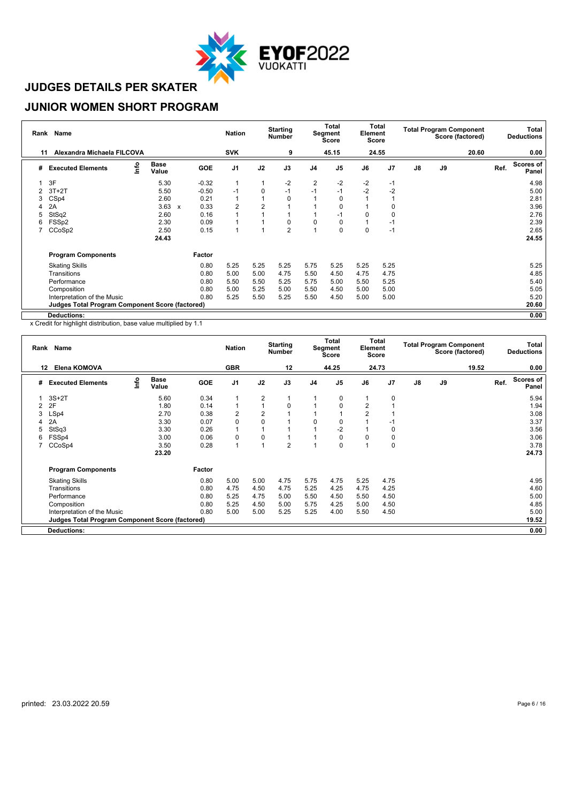

### **JUNIOR WOMEN SHORT PROGRAM**

| Rank | <b>Name</b>                                            |      |                      |                           |            | <b>Nation</b>  |                | <b>Starting</b><br>Number |                | Total<br>Segment<br><b>Score</b> | Element | Total<br><b>Score</b> |               |    | <b>Total Program Component</b><br>Score (factored) |      | Total<br><b>Deductions</b> |
|------|--------------------------------------------------------|------|----------------------|---------------------------|------------|----------------|----------------|---------------------------|----------------|----------------------------------|---------|-----------------------|---------------|----|----------------------------------------------------|------|----------------------------|
| 11   | Alexandra Michaela FILCOVA                             |      |                      |                           |            | <b>SVK</b>     |                | 9                         |                | 45.15                            |         | 24.55                 |               |    | 20.60                                              |      | 0.00                       |
| #    | <b>Executed Elements</b>                               | lnfo | <b>Base</b><br>Value |                           | <b>GOE</b> | J <sub>1</sub> | J2             | J3                        | J <sub>4</sub> | J <sub>5</sub>                   | J6      | J7                    | $\mathsf{J}8$ | J9 |                                                    | Ref. | <b>Scores of</b><br>Panel  |
|      | 3F                                                     |      | 5.30                 |                           | $-0.32$    | 1              |                | $-2$                      | 2              | $-2$                             | $-2$    | $-1$                  |               |    |                                                    |      | 4.98                       |
| 2    | $3T+2T$                                                |      | 5.50                 |                           | $-0.50$    | $-1$           | 0              | $-1$                      | $-1$           | $-1$                             | $-2$    | -2                    |               |    |                                                    |      | 5.00                       |
| 3    | CS <sub>p4</sub>                                       |      | 2.60                 |                           | 0.21       |                |                | 0                         |                | 0                                |         |                       |               |    |                                                    |      | 2.81                       |
| 4    | 2A                                                     |      | 3.63                 | $\boldsymbol{\mathsf{x}}$ | 0.33       | 2              | $\overline{2}$ |                           |                | $\Omega$                         |         | 0                     |               |    |                                                    |      | 3.96                       |
| 5    | StSq2                                                  |      | 2.60                 |                           | 0.16       |                |                |                           |                | $-1$                             | 0       | 0                     |               |    |                                                    |      | 2.76                       |
| 6    | FSS <sub>p2</sub>                                      |      | 2.30                 |                           | 0.09       |                |                | 0                         | $\Omega$       | 0                                |         | $-1$                  |               |    |                                                    |      | 2.39                       |
|      | CCoSp2                                                 |      | 2.50                 |                           | 0.15       |                |                | $\overline{2}$            |                | $\Omega$                         | 0       | $-1$                  |               |    |                                                    |      | 2.65                       |
|      |                                                        |      | 24.43                |                           |            |                |                |                           |                |                                  |         |                       |               |    |                                                    |      | 24.55                      |
|      | <b>Program Components</b>                              |      |                      |                           | Factor     |                |                |                           |                |                                  |         |                       |               |    |                                                    |      |                            |
|      | <b>Skating Skills</b>                                  |      |                      |                           | 0.80       | 5.25           | 5.25           | 5.25                      | 5.75           | 5.25                             | 5.25    | 5.25                  |               |    |                                                    |      | 5.25                       |
|      | Transitions                                            |      |                      |                           | 0.80       | 5.00           | 5.00           | 4.75                      | 5.50           | 4.50                             | 4.75    | 4.75                  |               |    |                                                    |      | 4.85                       |
|      | Performance                                            |      |                      |                           | 0.80       | 5.50           | 5.50           | 5.25                      | 5.75           | 5.00                             | 5.50    | 5.25                  |               |    |                                                    |      | 5.40                       |
|      | Composition                                            |      |                      |                           | 0.80       | 5.00           | 5.25           | 5.00                      | 5.50           | 4.50                             | 5.00    | 5.00                  |               |    |                                                    |      | 5.05                       |
|      | Interpretation of the Music                            |      |                      |                           | 0.80       | 5.25           | 5.50           | 5.25                      | 5.50           | 4.50                             | 5.00    | 5.00                  |               |    |                                                    |      | 5.20                       |
|      | <b>Judges Total Program Component Score (factored)</b> |      |                      |                           |            |                |                |                           |                |                                  |         |                       |               |    |                                                    |      | 20.60                      |
|      | <b>Deductions:</b>                                     |      |                      |                           |            |                |                |                           |                |                                  |         |                       |               |    |                                                    |      | 0.00                       |

|   | Rank Name                                              |      |                      |            | <b>Nation</b>  |                | <b>Starting</b><br><b>Number</b> |                | Total<br>Segment<br><b>Score</b> | Element        | Total<br><b>Score</b> |               |               | <b>Total Program Component</b><br>Score (factored) |      | Total<br><b>Deductions</b> |
|---|--------------------------------------------------------|------|----------------------|------------|----------------|----------------|----------------------------------|----------------|----------------------------------|----------------|-----------------------|---------------|---------------|----------------------------------------------------|------|----------------------------|
|   | Elena KOMOVA<br>12                                     |      |                      |            | <b>GBR</b>     |                | 12                               |                | 44.25                            |                | 24.73                 |               |               | 19.52                                              |      | 0.00                       |
| # | <b>Executed Elements</b>                               | Info | <b>Base</b><br>Value | <b>GOE</b> | J <sub>1</sub> | J2             | J3                               | J <sub>4</sub> | J <sub>5</sub>                   | J6             | J <sub>7</sub>        | $\mathsf{J}8$ | $\mathsf{J}9$ |                                                    | Ref. | <b>Scores of</b><br>Panel  |
|   | $3S+2T$                                                |      | 5.60                 | 0.34       | 1              | $\overline{2}$ | 1                                |                | 0                                |                | $\Omega$              |               |               |                                                    |      | 5.94                       |
| 2 | 2F                                                     |      | 1.80                 | 0.14       | $\mathbf{1}$   | $\overline{A}$ | 0                                |                | 0                                | $\overline{2}$ |                       |               |               |                                                    |      | 1.94                       |
| 3 | LSp4                                                   |      | 2.70                 | 0.38       | 2              | 2              |                                  |                |                                  | $\overline{2}$ |                       |               |               |                                                    |      | 3.08                       |
|   | 2A                                                     |      | 3.30                 | 0.07       | $\mathbf 0$    | 0              |                                  | $\Omega$       | 0                                |                | $-1$                  |               |               |                                                    |      | 3.37                       |
| 5 | StSq3                                                  |      | 3.30                 | 0.26       | 1              |                |                                  |                | $-2$                             |                | 0                     |               |               |                                                    |      | 3.56                       |
| 6 | FSSp4                                                  |      | 3.00                 | 0.06       | 0              | 0              |                                  |                | 0                                |                | 0                     |               |               |                                                    |      | 3.06                       |
|   | CCoSp4                                                 |      | 3.50                 | 0.28       | $\overline{1}$ |                | $\overline{2}$                   |                | 0                                |                | $\Omega$              |               |               |                                                    |      | 3.78                       |
|   |                                                        |      | 23.20                |            |                |                |                                  |                |                                  |                |                       |               |               |                                                    |      | 24.73                      |
|   | <b>Program Components</b>                              |      |                      | Factor     |                |                |                                  |                |                                  |                |                       |               |               |                                                    |      |                            |
|   | <b>Skating Skills</b>                                  |      |                      | 0.80       | 5.00           | 5.00           | 4.75                             | 5.75           | 4.75                             | 5.25           | 4.75                  |               |               |                                                    |      | 4.95                       |
|   | Transitions                                            |      |                      | 0.80       | 4.75           | 4.50           | 4.75                             | 5.25           | 4.25                             | 4.75           | 4.25                  |               |               |                                                    |      | 4.60                       |
|   | Performance                                            |      |                      | 0.80       | 5.25           | 4.75           | 5.00                             | 5.50           | 4.50                             | 5.50           | 4.50                  |               |               |                                                    |      | 5.00                       |
|   | Composition                                            |      |                      | 0.80       | 5.25           | 4.50           | 5.00                             | 5.75           | 4.25                             | 5.00           | 4.50                  |               |               |                                                    |      | 4.85                       |
|   | Interpretation of the Music                            |      |                      | 0.80       | 5.00           | 5.00           | 5.25                             | 5.25           | 4.00                             | 5.50           | 4.50                  |               |               |                                                    |      | 5.00                       |
|   | <b>Judges Total Program Component Score (factored)</b> |      |                      |            |                |                |                                  |                |                                  |                |                       |               |               |                                                    |      | 19.52                      |
|   | <b>Deductions:</b>                                     |      |                      |            |                |                |                                  |                |                                  |                |                       |               |               |                                                    |      | 0.00                       |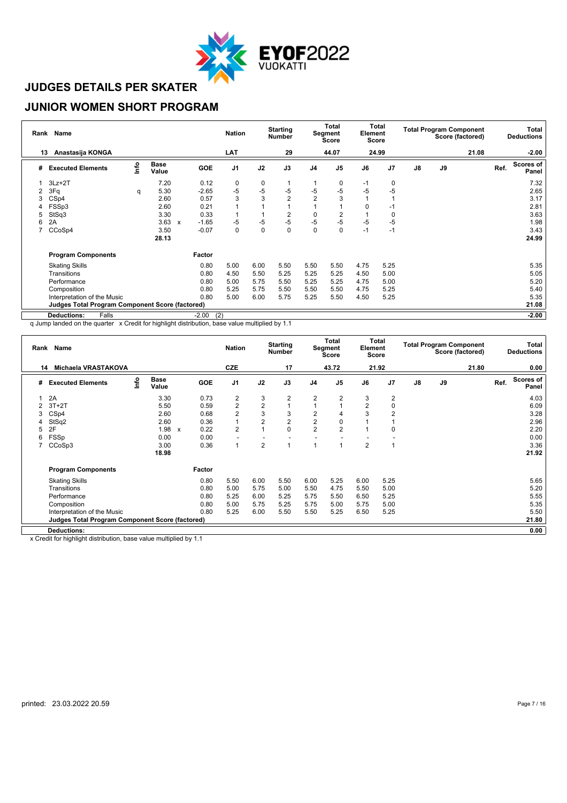

#### **JUNIOR WOMEN SHORT PROGRAM**

|    | Rank Name                                              |      |                      |                           |                | <b>Nation</b>  |             | <b>Starting</b><br><b>Number</b> |                | <b>Total</b><br>Segment<br><b>Score</b> | Element  | Total<br><b>Score</b> |               |               | <b>Total Program Component</b><br>Score (factored) |      | Total<br><b>Deductions</b> |
|----|--------------------------------------------------------|------|----------------------|---------------------------|----------------|----------------|-------------|----------------------------------|----------------|-----------------------------------------|----------|-----------------------|---------------|---------------|----------------------------------------------------|------|----------------------------|
| 13 | Anastasija KONGA                                       |      |                      |                           |                | <b>LAT</b>     |             | 29                               |                | 44.07                                   |          | 24.99                 |               |               | 21.08                                              |      | $-2.00$                    |
| #  | <b>Executed Elements</b>                               | lnfo | <b>Base</b><br>Value |                           | GOE            | J <sub>1</sub> | J2          | J3                               | J <sub>4</sub> | J <sub>5</sub>                          | J6       | J <sub>7</sub>        | $\mathsf{J}8$ | $\mathsf{J}9$ |                                                    | Ref. | <b>Scores of</b><br>Panel  |
|    | $3Lz + 2T$                                             |      | 7.20                 |                           | 0.12           | 0              | $\mathbf 0$ |                                  |                | 0                                       | -1       | 0                     |               |               |                                                    |      | 7.32                       |
| 2  | 3Fq                                                    | q    | 5.30                 |                           | $-2.65$        | $-5$           | $-5$        | $-5$                             | $-5$           | $-5$                                    | $-5$     | -5                    |               |               |                                                    |      | 2.65                       |
| 3  | CSp4                                                   |      | 2.60                 |                           | 0.57           | 3              | 3           | $\overline{2}$                   | $\overline{2}$ | 3                                       |          |                       |               |               |                                                    |      | 3.17                       |
|    | FSSp3                                                  |      | 2.60                 |                           | 0.21           |                |             |                                  |                |                                         | $\Omega$ | $-1$                  |               |               |                                                    |      | 2.81                       |
| 5  | StSq3                                                  |      | 3.30                 |                           | 0.33           |                |             | 2                                | 0              | 2                                       |          | 0                     |               |               |                                                    |      | 3.63                       |
| 6  | 2A                                                     |      | 3.63                 | $\boldsymbol{\mathsf{x}}$ | $-1.65$        | $-5$           | $-5$        | $-5$                             | $-5$           | $-5$                                    | $-5$     | $-5$                  |               |               |                                                    |      | 1.98                       |
| 7  | CCoSp4                                                 |      | 3.50                 |                           | $-0.07$        | 0              | $\mathbf 0$ | 0                                | $\mathbf 0$    | 0                                       | $-1$     | $-1$                  |               |               |                                                    |      | 3.43                       |
|    |                                                        |      | 28.13                |                           |                |                |             |                                  |                |                                         |          |                       |               |               |                                                    |      | 24.99                      |
|    | <b>Program Components</b>                              |      |                      |                           | Factor         |                |             |                                  |                |                                         |          |                       |               |               |                                                    |      |                            |
|    | <b>Skating Skills</b>                                  |      |                      |                           | 0.80           | 5.00           | 6.00        | 5.50                             | 5.50           | 5.50                                    | 4.75     | 5.25                  |               |               |                                                    |      | 5.35                       |
|    | Transitions                                            |      |                      |                           | 0.80           | 4.50           | 5.50        | 5.25                             | 5.25           | 5.25                                    | 4.50     | 5.00                  |               |               |                                                    |      | 5.05                       |
|    | Performance                                            |      |                      |                           | 0.80           | 5.00           | 5.75        | 5.50                             | 5.25           | 5.25                                    | 4.75     | 5.00                  |               |               |                                                    |      | 5.20                       |
|    | Composition                                            |      |                      |                           | 0.80           | 5.25           | 5.75        | 5.50                             | 5.50           | 5.50                                    | 4.75     | 5.25                  |               |               |                                                    |      | 5.40                       |
|    | Interpretation of the Music                            |      |                      |                           | 0.80           | 5.00           | 6.00        | 5.75                             | 5.25           | 5.50                                    | 4.50     | 5.25                  |               |               |                                                    |      | 5.35                       |
|    | <b>Judges Total Program Component Score (factored)</b> |      |                      |                           |                |                |             |                                  |                |                                         |          |                       |               |               |                                                    |      | 21.08                      |
|    | <b>Deductions:</b><br>Falls                            |      |                      |                           | (2)<br>$-2.00$ |                |             |                                  |                |                                         |          |                       |               |               |                                                    |      | $-2.00$                    |

q Jump landed on the quarter x Credit for highlight distribution, base value multiplied by 1.1

|    | Rank Name                                              |      |                      |                           |        | <b>Nation</b>           |                         | <b>Starting</b><br>Number |                | Total<br>Segment<br><b>Score</b> | Element        | Total<br><b>Score</b> |               |    | <b>Total Program Component</b><br>Score (factored) |      | Total<br><b>Deductions</b> |
|----|--------------------------------------------------------|------|----------------------|---------------------------|--------|-------------------------|-------------------------|---------------------------|----------------|----------------------------------|----------------|-----------------------|---------------|----|----------------------------------------------------|------|----------------------------|
| 14 | Michaela VRASTAKOVA                                    |      |                      |                           |        | <b>CZE</b>              |                         | 17                        |                | 43.72                            |                | 21.92                 |               |    | 21.80                                              |      | 0.00                       |
| #  | <b>Executed Elements</b>                               | Info | <b>Base</b><br>Value |                           | GOE    | J <sub>1</sub>          | J2                      | J3                        | J <sub>4</sub> | J <sub>5</sub>                   | J6             | J <sub>7</sub>        | $\mathsf{J}8$ | J9 |                                                    | Ref. | <b>Scores of</b><br>Panel  |
|    | 2A                                                     |      | 3.30                 |                           | 0.73   | 2                       | 3                       | 2                         | 2              | 2                                | 3              | 2                     |               |    |                                                    |      | 4.03                       |
| 2  | $3T+2T$                                                |      | 5.50                 |                           | 0.59   | $\overline{\mathbf{c}}$ | $\overline{\mathbf{c}}$ |                           |                |                                  | $\overline{2}$ | 0                     |               |    |                                                    |      | 6.09                       |
| 3  | CS <sub>p4</sub>                                       |      | 2.60                 |                           | 0.68   | $\overline{\mathbf{c}}$ | 3                       | 3                         | 2              | 4                                | 3              | 2                     |               |    |                                                    |      | 3.28                       |
| 4  | StSq2                                                  |      | 2.60                 |                           | 0.36   |                         | $\overline{2}$          | $\overline{c}$            | $\overline{2}$ | 0                                |                |                       |               |    |                                                    |      | 2.96                       |
| 5  | 2F                                                     |      | 1.98                 | $\boldsymbol{\mathsf{x}}$ | 0.22   | $\overline{2}$          |                         | 0                         | $\overline{2}$ | $\overline{2}$                   |                | 0                     |               |    |                                                    |      | 2.20                       |
| 6  | FSSp                                                   |      | 0.00                 |                           | 0.00   |                         |                         |                           |                |                                  |                |                       |               |    |                                                    |      | 0.00                       |
|    | CCoSp3                                                 |      | 3.00                 |                           | 0.36   | 1                       | $\overline{2}$          |                           |                |                                  | $\overline{2}$ |                       |               |    |                                                    |      | 3.36                       |
|    |                                                        |      | 18.98                |                           |        |                         |                         |                           |                |                                  |                |                       |               |    |                                                    |      | 21.92                      |
|    | <b>Program Components</b>                              |      |                      |                           | Factor |                         |                         |                           |                |                                  |                |                       |               |    |                                                    |      |                            |
|    | <b>Skating Skills</b>                                  |      |                      |                           | 0.80   | 5.50                    | 6.00                    | 5.50                      | 6.00           | 5.25                             | 6.00           | 5.25                  |               |    |                                                    |      | 5.65                       |
|    | Transitions                                            |      |                      |                           | 0.80   | 5.00                    | 5.75                    | 5.00                      | 5.50           | 4.75                             | 5.50           | 5.00                  |               |    |                                                    |      | 5.20                       |
|    | Performance                                            |      |                      |                           | 0.80   | 5.25                    | 6.00                    | 5.25                      | 5.75           | 5.50                             | 6.50           | 5.25                  |               |    |                                                    |      | 5.55                       |
|    | Composition                                            |      |                      |                           | 0.80   | 5.00                    | 5.75                    | 5.25                      | 5.75           | 5.00                             | 5.75           | 5.00                  |               |    |                                                    |      | 5.35                       |
|    | Interpretation of the Music                            |      |                      |                           | 0.80   | 5.25                    | 6.00                    | 5.50                      | 5.50           | 5.25                             | 6.50           | 5.25                  |               |    |                                                    |      | 5.50                       |
|    | <b>Judges Total Program Component Score (factored)</b> |      |                      |                           |        |                         |                         |                           |                |                                  |                |                       |               |    |                                                    |      | 21.80                      |
|    | <b>Deductions:</b>                                     |      |                      |                           |        |                         |                         |                           |                |                                  |                |                       |               |    |                                                    |      | 0.00                       |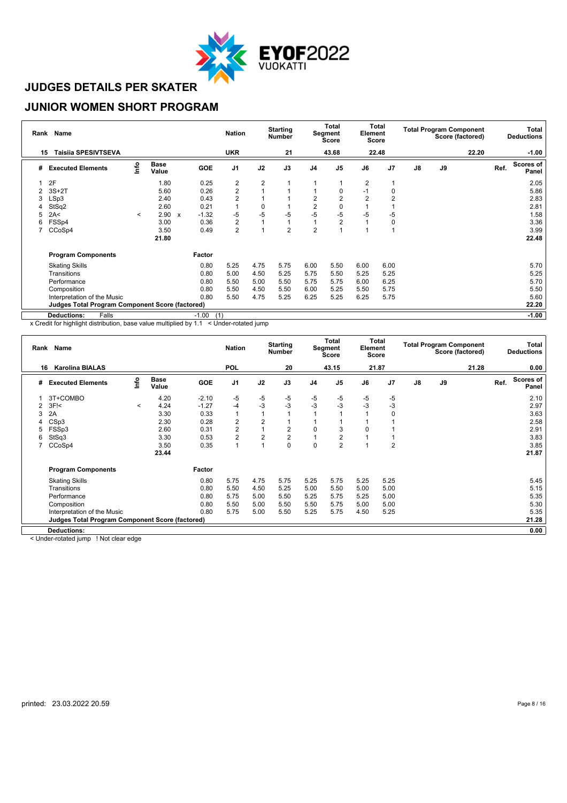

#### **JUNIOR WOMEN SHORT PROGRAM**

|    | Rank Name                                              |         |                      |                           |                | <b>Nation</b>  |                | <b>Starting</b><br><b>Number</b> |                | <b>Total</b><br>Segment<br><b>Score</b> | Element        | Total<br><b>Score</b> |               |    | <b>Total Program Component</b><br>Score (factored) |      | Total<br><b>Deductions</b> |
|----|--------------------------------------------------------|---------|----------------------|---------------------------|----------------|----------------|----------------|----------------------------------|----------------|-----------------------------------------|----------------|-----------------------|---------------|----|----------------------------------------------------|------|----------------------------|
| 15 | <b>Taisija SPESIVTSEVA</b>                             |         |                      |                           |                | <b>UKR</b>     |                | 21                               |                | 43.68                                   |                | 22.48                 |               |    | 22.20                                              |      | $-1.00$                    |
| #  | <b>Executed Elements</b>                               | Info    | <b>Base</b><br>Value |                           | GOE            | J1             | J2             | J3                               | J <sub>4</sub> | J <sub>5</sub>                          | J6             | J <sub>7</sub>        | $\mathsf{J}8$ | J9 |                                                    | Ref. | <b>Scores of</b><br>Panel  |
|    | 2F                                                     |         | 1.80                 |                           | 0.25           | 2              | $\overline{2}$ |                                  |                |                                         | $\overline{2}$ |                       |               |    |                                                    |      | 2.05                       |
| 2  | $3S+2T$                                                |         | 5.60                 |                           | 0.26           | $\overline{c}$ |                |                                  |                |                                         | $-1$           | 0                     |               |    |                                                    |      | 5.86                       |
| 3  | LSp3                                                   |         | 2.40                 |                           | 0.43           | $\overline{2}$ |                |                                  | $\overline{2}$ |                                         | $\overline{2}$ | $\overline{2}$        |               |    |                                                    |      | 2.83                       |
|    | StSq2                                                  |         | 2.60                 |                           | 0.21           | 1              | $\mathbf 0$    |                                  | $\overline{2}$ |                                         |                |                       |               |    |                                                    |      | 2.81                       |
|    | 2A<                                                    | $\prec$ | 2.90                 | $\boldsymbol{\mathsf{x}}$ | $-1.32$        | $-5$           | -5             | $-5$                             | -5             | -5                                      | $-5$           | -5                    |               |    |                                                    |      | 1.58                       |
| 6  | FSSp4                                                  |         | 3.00                 |                           | 0.36           | 2              |                |                                  |                | $\overline{2}$                          |                | 0                     |               |    |                                                    |      | 3.36                       |
|    | CCoSp4                                                 |         | 3.50                 |                           | 0.49           | $\overline{2}$ |                | $\overline{2}$                   | $\overline{2}$ |                                         |                |                       |               |    |                                                    |      | 3.99                       |
|    |                                                        |         | 21.80                |                           |                |                |                |                                  |                |                                         |                |                       |               |    |                                                    |      | 22.48                      |
|    | <b>Program Components</b>                              |         |                      |                           | Factor         |                |                |                                  |                |                                         |                |                       |               |    |                                                    |      |                            |
|    | <b>Skating Skills</b>                                  |         |                      |                           | 0.80           | 5.25           | 4.75           | 5.75                             | 6.00           | 5.50                                    | 6.00           | 6.00                  |               |    |                                                    |      | 5.70                       |
|    | Transitions                                            |         |                      |                           | 0.80           | 5.00           | 4.50           | 5.25                             | 5.75           | 5.50                                    | 5.25           | 5.25                  |               |    |                                                    |      | 5.25                       |
|    | Performance                                            |         |                      |                           | 0.80           | 5.50           | 5.00           | 5.50                             | 5.75           | 5.75                                    | 6.00           | 6.25                  |               |    |                                                    |      | 5.70                       |
|    | Composition                                            |         |                      |                           | 0.80           | 5.50           | 4.50           | 5.50                             | 6.00           | 5.25                                    | 5.50           | 5.75                  |               |    |                                                    |      | 5.50                       |
|    | Interpretation of the Music                            |         |                      |                           | 0.80           | 5.50           | 4.75           | 5.25                             | 6.25           | 5.25                                    | 6.25           | 5.75                  |               |    |                                                    |      | 5.60                       |
|    | <b>Judges Total Program Component Score (factored)</b> |         |                      |                           |                |                |                |                                  |                |                                         |                |                       |               |    |                                                    |      | 22.20                      |
|    | <b>Deductions:</b><br>Falls                            |         |                      |                           | $-1.00$<br>(1) |                |                |                                  |                |                                         |                |                       |               |    |                                                    |      | $-1.00$                    |

x Credit for highlight distribution, base value multiplied by 1.1 < Under-rotated jump

|    | Rank Name                                       |         |                      |            | <b>Nation</b>  |                | <b>Starting</b><br><b>Number</b> |                | Total<br>Segment<br>Score | Element  | Total<br>Score |               |    | <b>Total Program Component</b><br>Score (factored) |      | Total<br><b>Deductions</b> |
|----|-------------------------------------------------|---------|----------------------|------------|----------------|----------------|----------------------------------|----------------|---------------------------|----------|----------------|---------------|----|----------------------------------------------------|------|----------------------------|
| 16 | <b>Karolina BIALAS</b>                          |         |                      |            | <b>POL</b>     |                | 20                               |                | 43.15                     |          | 21.87          |               |    | 21.28                                              |      | 0.00                       |
| #  | <b>Executed Elements</b>                        | lnfo    | <b>Base</b><br>Value | <b>GOE</b> | J <sub>1</sub> | J2             | J3                               | J <sub>4</sub> | J <sub>5</sub>            | J6       | J7             | $\mathsf{J}8$ | J9 |                                                    | Ref. | Scores of<br>Panel         |
|    | 3T+COMBO                                        |         | 4.20                 | $-2.10$    | -5             | -5             | -5                               | -5             | -5                        | -5       | -5             |               |    |                                                    |      | 2.10                       |
| 2  | $3F$ $\leq$                                     | $\prec$ | 4.24                 | $-1.27$    | $-4$           | $-3$           | $-3$                             | $-3$           | $-3$                      | $-3$     | $-3$           |               |    |                                                    |      | 2.97                       |
| 3  | 2A                                              |         | 3.30                 | 0.33       |                |                |                                  |                |                           |          | 0              |               |    |                                                    |      | 3.63                       |
|    | CSp3                                            |         | 2.30                 | 0.28       | $\overline{c}$ | $\overline{2}$ |                                  |                |                           |          |                |               |    |                                                    |      | 2.58                       |
| 5  | FSSp3                                           |         | 2.60                 | 0.31       | $\overline{c}$ |                | 2                                | $\mathbf 0$    | 3                         | $\Omega$ |                |               |    |                                                    |      | 2.91                       |
| 6  | StSq3                                           |         | 3.30                 | 0.53       | $\overline{2}$ | $\overline{2}$ | $\overline{2}$                   |                | 2                         |          |                |               |    |                                                    |      | 3.83                       |
|    | CCoSp4                                          |         | 3.50                 | 0.35       |                | $\overline{A}$ | 0                                | 0              | $\overline{2}$            |          | $\overline{2}$ |               |    |                                                    |      | 3.85                       |
|    |                                                 |         | 23.44                |            |                |                |                                  |                |                           |          |                |               |    |                                                    |      | 21.87                      |
|    | <b>Program Components</b>                       |         |                      | Factor     |                |                |                                  |                |                           |          |                |               |    |                                                    |      |                            |
|    | <b>Skating Skills</b>                           |         |                      | 0.80       | 5.75           | 4.75           | 5.75                             | 5.25           | 5.75                      | 5.25     | 5.25           |               |    |                                                    |      | 5.45                       |
|    | Transitions                                     |         |                      | 0.80       | 5.50           | 4.50           | 5.25                             | 5.00           | 5.50                      | 5.00     | 5.00           |               |    |                                                    |      | 5.15                       |
|    | Performance                                     |         |                      | 0.80       | 5.75           | 5.00           | 5.50                             | 5.25           | 5.75                      | 5.25     | 5.00           |               |    |                                                    |      | 5.35                       |
|    | Composition                                     |         |                      | 0.80       | 5.50           | 5.00           | 5.50                             | 5.50           | 5.75                      | 5.00     | 5.00           |               |    |                                                    |      | 5.30                       |
|    | Interpretation of the Music                     |         |                      | 0.80       | 5.75           | 5.00           | 5.50                             | 5.25           | 5.75                      | 4.50     | 5.25           |               |    |                                                    |      | 5.35                       |
|    | Judges Total Program Component Score (factored) |         |                      |            |                |                |                                  |                |                           |          |                |               |    |                                                    |      | 21.28                      |
|    | <b>Deductions:</b>                              |         |                      |            |                |                |                                  |                |                           |          |                |               |    |                                                    |      | 0.00                       |

< Under-rotated jump ! Not clear edge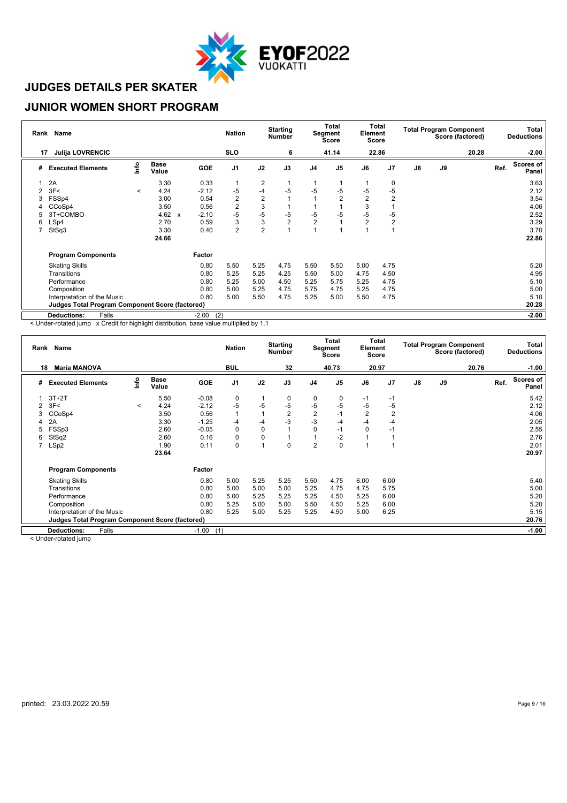

#### **JUNIOR WOMEN SHORT PROGRAM**

|    | Rank Name                                              |         |                      |                                      | <b>Nation</b>           |                | <b>Starting</b><br><b>Number</b> |                | <b>Total</b><br>Segment<br><b>Score</b> | Element        | Total<br><b>Score</b> |               |    | <b>Total Program Component</b><br>Score (factored) |      | Total<br><b>Deductions</b> |
|----|--------------------------------------------------------|---------|----------------------|--------------------------------------|-------------------------|----------------|----------------------------------|----------------|-----------------------------------------|----------------|-----------------------|---------------|----|----------------------------------------------------|------|----------------------------|
| 17 | <b>Julija LOVRENCIC</b>                                |         |                      |                                      | <b>SLO</b>              |                | 6                                |                | 41.14                                   |                | 22.86                 |               |    | 20.28                                              |      | $-2.00$                    |
| #  | <b>Executed Elements</b>                               | lnfo    | <b>Base</b><br>Value | <b>GOE</b>                           | J <sub>1</sub>          | J2             | J3                               | J <sub>4</sub> | J <sub>5</sub>                          | J6             | J7                    | $\mathsf{J}8$ | J9 |                                                    | Ref. | <b>Scores of</b><br>Panel  |
|    | 2A                                                     |         | 3.30                 | 0.33                                 |                         | $\overline{2}$ |                                  |                |                                         |                | 0                     |               |    |                                                    |      | 3.63                       |
|    | 3F<                                                    | $\prec$ | 4.24                 | $-2.12$                              | $-5$                    | $-4$           | -5                               | -5             | -5                                      | -5             | -5                    |               |    |                                                    |      | 2.12                       |
|    | FSSp4                                                  |         | 3.00                 | 0.54                                 | $\overline{c}$          | $\overline{2}$ |                                  |                | 2                                       | 2              | $\overline{2}$        |               |    |                                                    |      | 3.54                       |
|    | CCoSp4                                                 |         | 3.50                 | 0.56                                 | $\overline{\mathbf{c}}$ | 3              |                                  |                |                                         | 3              |                       |               |    |                                                    |      | 4.06                       |
|    | 3T+COMBO                                               |         | 4.62                 | $-2.10$<br>$\boldsymbol{\mathsf{x}}$ | $-5$                    | $-5$           | -5                               | -5             | $-5$                                    | $-5$           | -5                    |               |    |                                                    |      | 2.52                       |
| 6  | LSp4                                                   |         | 2.70                 | 0.59                                 | 3                       | 3              | $\overline{2}$                   | $\overline{2}$ |                                         | $\overline{2}$ | $\overline{2}$        |               |    |                                                    |      | 3.29                       |
| 7  | StSq3                                                  |         | 3.30                 | 0.40                                 | $\overline{2}$          | $\overline{2}$ |                                  |                |                                         |                | $\overline{ }$        |               |    |                                                    |      | 3.70                       |
|    |                                                        |         | 24.66                |                                      |                         |                |                                  |                |                                         |                |                       |               |    |                                                    |      | 22.86                      |
|    | <b>Program Components</b>                              |         |                      | Factor                               |                         |                |                                  |                |                                         |                |                       |               |    |                                                    |      |                            |
|    | <b>Skating Skills</b>                                  |         |                      | 0.80                                 | 5.50                    | 5.25           | 4.75                             | 5.50           | 5.50                                    | 5.00           | 4.75                  |               |    |                                                    |      | 5.20                       |
|    | Transitions                                            |         |                      | 0.80                                 | 5.25                    | 5.25           | 4.25                             | 5.50           | 5.00                                    | 4.75           | 4.50                  |               |    |                                                    |      | 4.95                       |
|    | Performance                                            |         |                      | 0.80                                 | 5.25                    | 5.00           | 4.50                             | 5.25           | 5.75                                    | 5.25           | 4.75                  |               |    |                                                    |      | 5.10                       |
|    | Composition                                            |         |                      | 0.80                                 | 5.00                    | 5.25           | 4.75                             | 5.75           | 4.75                                    | 5.25           | 4.75                  |               |    |                                                    |      | 5.00                       |
|    | Interpretation of the Music                            |         |                      | 0.80                                 | 5.00                    | 5.50           | 4.75                             | 5.25           | 5.00                                    | 5.50           | 4.75                  |               |    |                                                    |      | 5.10                       |
|    | <b>Judges Total Program Component Score (factored)</b> |         |                      |                                      |                         |                |                                  |                |                                         |                |                       |               |    |                                                    |      | 20.28                      |
|    | <b>Deductions:</b><br>Falls                            |         |                      | $-2.00$                              | (2)                     |                |                                  |                |                                         |                |                       |               |    |                                                    |      | $-2.00$                    |

< Under-rotated jump x Credit for highlight distribution, base value multiplied by 1.1

|    | Rank Name                                              |         |                      |            | <b>Nation</b>  |              | <b>Starting</b><br><b>Number</b> |                | Total<br>Segment<br><b>Score</b> | Element        | Total<br>Score |               |    | <b>Total Program Component</b><br>Score (factored) |      | Total<br><b>Deductions</b> |
|----|--------------------------------------------------------|---------|----------------------|------------|----------------|--------------|----------------------------------|----------------|----------------------------------|----------------|----------------|---------------|----|----------------------------------------------------|------|----------------------------|
| 18 | <b>Maria MANOVA</b>                                    |         |                      |            | <b>BUL</b>     |              | 32                               |                | 40.73                            |                | 20.97          |               |    | 20.76                                              |      | $-1.00$                    |
| #  | <b>Executed Elements</b>                               | lnfo    | <b>Base</b><br>Value | <b>GOE</b> | J <sub>1</sub> | J2           | J3                               | J <sub>4</sub> | J <sub>5</sub>                   | J6             | J <sub>7</sub> | $\mathsf{J}8$ | J9 |                                                    | Ref. | Scores of<br>Panel         |
|    | $3T+2T$                                                |         | 5.50                 | $-0.08$    | 0              | $\mathbf{1}$ | 0                                | 0              | 0                                | $-1$           | $-1$           |               |    |                                                    |      | 5.42                       |
| 2  | 3F<                                                    | $\,<\,$ | 4.24                 | $-2.12$    | $-5$           | $-5$         | $-5$                             | $-5$           | $-5$                             | -5             | -5             |               |    |                                                    |      | 2.12                       |
| 3  | CCoSp4                                                 |         | 3.50                 | 0.56       | $\mathbf{1}$   | 1            | $\overline{2}$                   | $\overline{2}$ | $-1$                             | $\overline{2}$ | $\overline{2}$ |               |    |                                                    |      | 4.06                       |
| 4  | 2A                                                     |         | 3.30                 | $-1.25$    | $-4$           | $-4$         | $-3$                             | $-3$           | -4                               | -4             | $-4$           |               |    |                                                    |      | 2.05                       |
| 5  | FSSp3                                                  |         | 2.60                 | $-0.05$    | 0              | $\mathbf 0$  |                                  | $\mathbf 0$    | $-1$                             | 0              | -1             |               |    |                                                    |      | 2.55                       |
| 6  | StSq2                                                  |         | 2.60                 | 0.16       | 0              | $\mathbf 0$  |                                  |                | $-2$                             |                |                |               |    |                                                    |      | 2.76                       |
|    | LSp2                                                   |         | 1.90                 | 0.11       | 0              | 1            | 0                                | $\overline{2}$ | 0                                |                |                |               |    |                                                    |      | 2.01                       |
|    |                                                        |         | 23.64                |            |                |              |                                  |                |                                  |                |                |               |    |                                                    |      | 20.97                      |
|    | <b>Program Components</b>                              |         |                      | Factor     |                |              |                                  |                |                                  |                |                |               |    |                                                    |      |                            |
|    | <b>Skating Skills</b>                                  |         |                      | 0.80       | 5.00           | 5.25         | 5.25                             | 5.50           | 4.75                             | 6.00           | 6.00           |               |    |                                                    |      | 5.40                       |
|    | Transitions                                            |         |                      | 0.80       | 5.00           | 5.00         | 5.00                             | 5.25           | 4.75                             | 4.75           | 5.75           |               |    |                                                    |      | 5.00                       |
|    | Performance                                            |         |                      | 0.80       | 5.00           | 5.25         | 5.25                             | 5.25           | 4.50                             | 5.25           | 6.00           |               |    |                                                    |      | 5.20                       |
|    | Composition                                            |         |                      | 0.80       | 5.25           | 5.00         | 5.00                             | 5.50           | 4.50                             | 5.25           | 6.00           |               |    |                                                    |      | 5.20                       |
|    | Interpretation of the Music                            |         |                      | 0.80       | 5.25           | 5.00         | 5.25                             | 5.25           | 4.50                             | 5.00           | 6.25           |               |    |                                                    |      | 5.15                       |
|    | <b>Judges Total Program Component Score (factored)</b> |         |                      |            |                |              |                                  |                |                                  |                |                |               |    |                                                    |      | 20.76                      |
|    | Falls<br><b>Deductions:</b>                            |         |                      | $-1.00$    | (1)            |              |                                  |                |                                  |                |                |               |    |                                                    |      | $-1.00$                    |

< Under-rotated jump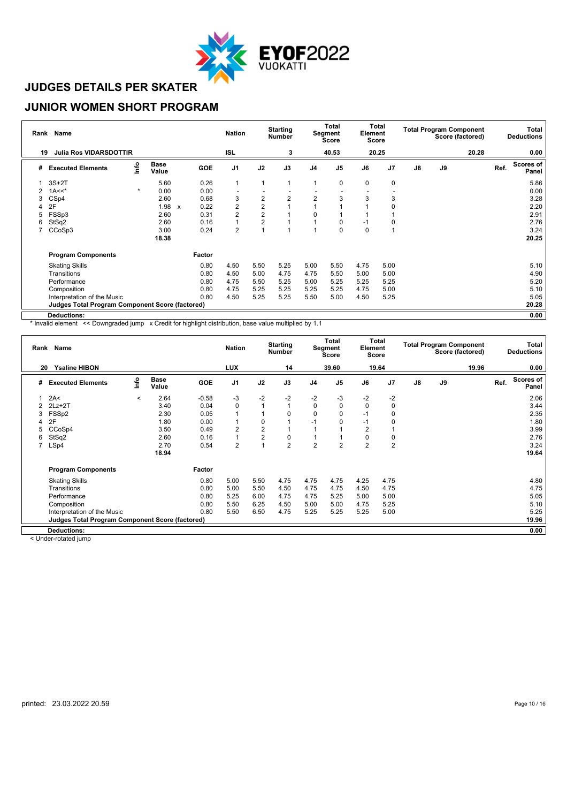

#### **JUNIOR WOMEN SHORT PROGRAM**

|    | Rank Name                                              |         |                      |   |            | <b>Nation</b>            |                | <b>Starting</b><br><b>Number</b> |                | <b>Total</b><br>Segment<br><b>Score</b> | Element | Total<br><b>Score</b> |               |    | <b>Total Program Component</b><br>Score (factored) |      | Total<br><b>Deductions</b> |
|----|--------------------------------------------------------|---------|----------------------|---|------------|--------------------------|----------------|----------------------------------|----------------|-----------------------------------------|---------|-----------------------|---------------|----|----------------------------------------------------|------|----------------------------|
| 19 | <b>Julia Ros VIDARSDOTTIR</b>                          |         |                      |   |            | <b>ISL</b>               |                | 3                                |                | 40.53                                   |         | 20.25                 |               |    | 20.28                                              |      | 0.00                       |
| #  | <b>Executed Elements</b>                               | lnfo    | <b>Base</b><br>Value |   | <b>GOE</b> | J1                       | J2             | J3                               | J <sub>4</sub> | J <sub>5</sub>                          | J6      | J7                    | $\mathsf{J}8$ | J9 |                                                    | Ref. | <b>Scores of</b><br>Panel  |
|    | $3S+2T$                                                |         | 5.60                 |   | 0.26       | $\mathbf{1}$             | 1              |                                  | 1              | 0                                       | 0       | 0                     |               |    |                                                    |      | 5.86                       |
| 2  | $1A<<$ *                                               | $\star$ | 0.00                 |   | 0.00       | $\overline{\phantom{a}}$ |                |                                  |                |                                         |         |                       |               |    |                                                    |      | 0.00                       |
| 3  | CS <sub>p4</sub>                                       |         | 2.60                 |   | 0.68       | 3                        | $\overline{2}$ | $\overline{2}$                   | $\overline{2}$ | 3                                       | 3       | 3                     |               |    |                                                    |      | 3.28                       |
| 4  | 2F                                                     |         | 1.98                 | x | 0.22       | $\overline{c}$           | $\overline{2}$ |                                  |                |                                         |         | 0                     |               |    |                                                    |      | 2.20                       |
| 5  | FSSp3                                                  |         | 2.60                 |   | 0.31       | 2                        | $\overline{2}$ |                                  | 0              |                                         |         |                       |               |    |                                                    |      | 2.91                       |
| 6  | StSq2                                                  |         | 2.60                 |   | 0.16       | 1                        | $\overline{2}$ |                                  |                | O                                       | $-1$    | 0                     |               |    |                                                    |      | 2.76                       |
|    | CCoSp3                                                 |         | 3.00                 |   | 0.24       | 2                        |                |                                  |                | $\Omega$                                | 0       |                       |               |    |                                                    |      | 3.24                       |
|    |                                                        |         | 18.38                |   |            |                          |                |                                  |                |                                         |         |                       |               |    |                                                    |      | 20.25                      |
|    | <b>Program Components</b>                              |         |                      |   | Factor     |                          |                |                                  |                |                                         |         |                       |               |    |                                                    |      |                            |
|    | <b>Skating Skills</b>                                  |         |                      |   | 0.80       | 4.50                     | 5.50           | 5.25                             | 5.00           | 5.50                                    | 4.75    | 5.00                  |               |    |                                                    |      | 5.10                       |
|    | Transitions                                            |         |                      |   | 0.80       | 4.50                     | 5.00           | 4.75                             | 4.75           | 5.50                                    | 5.00    | 5.00                  |               |    |                                                    |      | 4.90                       |
|    | Performance                                            |         |                      |   | 0.80       | 4.75                     | 5.50           | 5.25                             | 5.00           | 5.25                                    | 5.25    | 5.25                  |               |    |                                                    |      | 5.20                       |
|    | Composition                                            |         |                      |   | 0.80       | 4.75                     | 5.25           | 5.25                             | 5.25           | 5.25                                    | 4.75    | 5.00                  |               |    |                                                    |      | 5.10                       |
|    | Interpretation of the Music                            |         |                      |   | 0.80       | 4.50                     | 5.25           | 5.25                             | 5.50           | 5.00                                    | 4.50    | 5.25                  |               |    |                                                    |      | 5.05                       |
|    | <b>Judges Total Program Component Score (factored)</b> |         |                      |   |            |                          |                |                                  |                |                                         |         |                       |               |    |                                                    |      | 20.28                      |
|    | Deductions:                                            |         |                      |   |            |                          |                |                                  |                |                                         |         |                       |               |    |                                                    |      | 0.00                       |

\* Invalid element << Downgraded jump x Credit for highlight distribution, base value multiplied by 1.1

|    | Rank Name                                       |         |                      |         | <b>Nation</b>  |                | <b>Starting</b><br><b>Number</b> |                | Total<br>Segment<br><b>Score</b> | Element        | Total<br><b>Score</b> |               | <b>Total Program Component</b> | Score (factored) |      | Total<br><b>Deductions</b> |
|----|-------------------------------------------------|---------|----------------------|---------|----------------|----------------|----------------------------------|----------------|----------------------------------|----------------|-----------------------|---------------|--------------------------------|------------------|------|----------------------------|
| 20 | <b>Ysaline HIBON</b>                            |         |                      |         | <b>LUX</b>     |                | 14                               |                | 39.60                            |                | 19.64                 |               |                                | 19.96            |      | 0.00                       |
| #  | <b>Executed Elements</b>                        | lnfo    | <b>Base</b><br>Value | GOE     | J <sub>1</sub> | J2             | J3                               | J <sub>4</sub> | J <sub>5</sub>                   | J6             | J <sub>7</sub>        | $\mathsf{J}8$ | J9                             |                  | Ref. | Scores of<br>Panel         |
|    | 2A<                                             | $\prec$ | 2.64                 | $-0.58$ | $-3$           | $-2$           | $-2$                             | $-2$           | $-3$                             | $-2$           | $-2$                  |               |                                |                  |      | 2.06                       |
|    | $2Lz+2T$                                        |         | 3.40                 | 0.04    | 0              |                |                                  | $\Omega$       | $\Omega$                         | $\mathbf 0$    | 0                     |               |                                |                  |      | 3.44                       |
|    | FSSp2                                           |         | 2.30                 | 0.05    |                |                | $\Omega$                         | $\Omega$       | 0                                | $-1$           | 0                     |               |                                |                  |      | 2.35                       |
|    | 2F                                              |         | 1.80                 | 0.00    |                | 0              |                                  | $-1$           | 0                                | $-1$           | 0                     |               |                                |                  |      | 1.80                       |
|    | CCoSp4                                          |         | 3.50                 | 0.49    | $\overline{2}$ | $\overline{2}$ |                                  |                |                                  | $\overline{2}$ |                       |               |                                |                  |      | 3.99                       |
| 6  | StSq2                                           |         | 2.60                 | 0.16    |                | $\overline{2}$ | 0                                |                |                                  | 0              | 0                     |               |                                |                  |      | 2.76                       |
|    | LSp4                                            |         | 2.70                 | 0.54    | $\overline{2}$ |                | $\overline{2}$                   | 2              | $\overline{2}$                   | $\overline{2}$ | $\overline{2}$        |               |                                |                  |      | 3.24                       |
|    |                                                 |         | 18.94                |         |                |                |                                  |                |                                  |                |                       |               |                                |                  |      | 19.64                      |
|    | <b>Program Components</b>                       |         |                      | Factor  |                |                |                                  |                |                                  |                |                       |               |                                |                  |      |                            |
|    | <b>Skating Skills</b>                           |         |                      | 0.80    | 5.00           | 5.50           | 4.75                             | 4.75           | 4.75                             | 4.25           | 4.75                  |               |                                |                  |      | 4.80                       |
|    | Transitions                                     |         |                      | 0.80    | 5.00           | 5.50           | 4.50                             | 4.75           | 4.75                             | 4.50           | 4.75                  |               |                                |                  |      | 4.75                       |
|    | Performance                                     |         |                      | 0.80    | 5.25           | 6.00           | 4.75                             | 4.75           | 5.25                             | 5.00           | 5.00                  |               |                                |                  |      | 5.05                       |
|    | Composition                                     |         |                      | 0.80    | 5.50           | 6.25           | 4.50                             | 5.00           | 5.00                             | 4.75           | 5.25                  |               |                                |                  |      | 5.10                       |
|    | Interpretation of the Music                     |         |                      | 0.80    | 5.50           | 6.50           | 4.75                             | 5.25           | 5.25                             | 5.25           | 5.00                  |               |                                |                  |      | 5.25                       |
|    | Judges Total Program Component Score (factored) |         |                      |         |                |                |                                  |                |                                  |                |                       |               |                                |                  |      | 19.96                      |
|    | <b>Deductions:</b>                              |         |                      |         |                |                |                                  |                |                                  |                |                       |               |                                |                  |      | 0.00                       |

< Under-rotated jump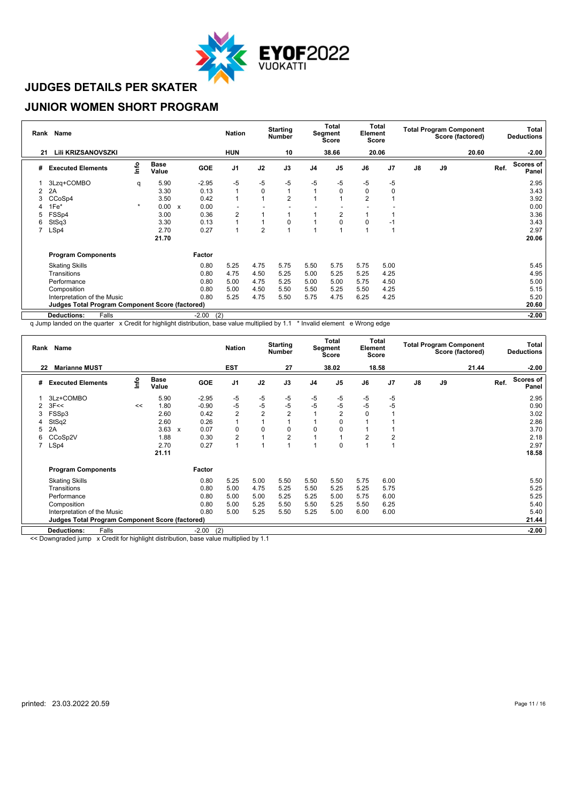

#### **JUNIOR WOMEN SHORT PROGRAM**

|    | Rank Name                                              |         |                      |   |                | <b>Nation</b>  |                | <b>Starting</b><br><b>Number</b> |                | <b>Total</b><br>Segment<br><b>Score</b> | Element        | Total<br><b>Score</b> |               |    | <b>Total Program Component</b><br>Score (factored) |      | Total<br><b>Deductions</b> |
|----|--------------------------------------------------------|---------|----------------------|---|----------------|----------------|----------------|----------------------------------|----------------|-----------------------------------------|----------------|-----------------------|---------------|----|----------------------------------------------------|------|----------------------------|
| 21 | Lili KRIZSANOVSZKI                                     |         |                      |   |                | <b>HUN</b>     |                | 10                               |                | 38.66                                   |                | 20.06                 |               |    | 20.60                                              |      | $-2.00$                    |
| #  | <b>Executed Elements</b>                               | lnfo    | <b>Base</b><br>Value |   | GOE            | J1             | J2             | J3                               | J <sub>4</sub> | J <sub>5</sub>                          | J6             | J <sub>7</sub>        | $\mathsf{J}8$ | J9 |                                                    | Ref. | <b>Scores of</b><br>Panel  |
|    | 3Lzq+COMBO                                             | q       | 5.90                 |   | $-2.95$        | $-5$           | $-5$           | $-5$                             | $-5$           | -5                                      | -5             | -5                    |               |    |                                                    |      | 2.95                       |
| 2  | 2A                                                     |         | 3.30                 |   | 0.13           | $\mathbf{1}$   | $\mathbf 0$    |                                  | $\overline{ }$ | $\Omega$                                | 0              | 0                     |               |    |                                                    |      | 3.43                       |
| 3  | CCoSp4                                                 |         | 3.50                 |   | 0.42           | 1              |                | $\overline{2}$                   |                |                                         | $\overline{2}$ |                       |               |    |                                                    |      | 3.92                       |
|    | $1Fe*$                                                 | $\star$ | 0.00                 | X | 0.00           |                |                |                                  |                |                                         |                |                       |               |    |                                                    |      | 0.00                       |
| 5  | FSSp4                                                  |         | 3.00                 |   | 0.36           | $\overline{2}$ |                |                                  |                | 2                                       |                |                       |               |    |                                                    |      | 3.36                       |
| 6  | StSq3                                                  |         | 3.30                 |   | 0.13           | 1              |                | 0                                |                | $\Omega$                                | 0              | -1                    |               |    |                                                    |      | 3.43                       |
|    | LSp4                                                   |         | 2.70                 |   | 0.27           | 1              | $\overline{2}$ |                                  |                |                                         |                |                       |               |    |                                                    |      | 2.97                       |
|    |                                                        |         | 21.70                |   |                |                |                |                                  |                |                                         |                |                       |               |    |                                                    |      | 20.06                      |
|    | <b>Program Components</b>                              |         |                      |   | Factor         |                |                |                                  |                |                                         |                |                       |               |    |                                                    |      |                            |
|    | <b>Skating Skills</b>                                  |         |                      |   | 0.80           | 5.25           | 4.75           | 5.75                             | 5.50           | 5.75                                    | 5.75           | 5.00                  |               |    |                                                    |      | 5.45                       |
|    | Transitions                                            |         |                      |   | 0.80           | 4.75           | 4.50           | 5.25                             | 5.00           | 5.25                                    | 5.25           | 4.25                  |               |    |                                                    |      | 4.95                       |
|    | Performance                                            |         |                      |   | 0.80           | 5.00           | 4.75           | 5.25                             | 5.00           | 5.00                                    | 5.75           | 4.50                  |               |    |                                                    |      | 5.00                       |
|    | Composition                                            |         |                      |   | 0.80           | 5.00           | 4.50           | 5.50                             | 5.50           | 5.25                                    | 5.50           | 4.25                  |               |    |                                                    |      | 5.15                       |
|    | Interpretation of the Music                            |         |                      |   | 0.80           | 5.25           | 4.75           | 5.50                             | 5.75           | 4.75                                    | 6.25           | 4.25                  |               |    |                                                    |      | 5.20                       |
|    | <b>Judges Total Program Component Score (factored)</b> |         |                      |   |                |                |                |                                  |                |                                         |                |                       |               |    |                                                    |      | 20.60                      |
|    | <b>Deductions:</b><br>Falls                            |         |                      |   | (2)<br>$-2.00$ |                |                |                                  |                |                                         |                |                       |               |    |                                                    |      | $-2.00$                    |

q Jump landed on the quarter x Credit for highlight distribution, base value multiplied by 1.1 \* Invalid element e Wrong edge

|    | Rank Name                                              |      |                      |              |            | <b>Nation</b>  |                | <b>Starting</b><br><b>Number</b> |                | Total<br>Segment<br><b>Score</b> | Element        | Total<br>Score |    |    | <b>Total Program Component</b><br>Score (factored) |      | Total<br><b>Deductions</b> |
|----|--------------------------------------------------------|------|----------------------|--------------|------------|----------------|----------------|----------------------------------|----------------|----------------------------------|----------------|----------------|----|----|----------------------------------------------------|------|----------------------------|
| 22 | <b>Marianne MUST</b>                                   |      |                      |              |            | <b>EST</b>     |                | 27                               |                | 38.02                            |                | 18.58          |    |    | 21.44                                              |      | $-2.00$                    |
| #  | <b>Executed Elements</b>                               | Info | <b>Base</b><br>Value |              | <b>GOE</b> | J <sub>1</sub> | J2             | J3                               | J <sub>4</sub> | J <sub>5</sub>                   | J6             | J7             | J8 | J9 |                                                    | Ref. | <b>Scores of</b><br>Panel  |
|    | 3Lz+COMBO                                              |      | 5.90                 |              | $-2.95$    | -5             | -5             | -5                               | -5             | -5                               | -5             | $-5$           |    |    |                                                    |      | 2.95                       |
| 2  | 3F<<                                                   | <<   | 1.80                 |              | $-0.90$    | $-5$           | $-5$           | $-5$                             | $-5$           | $-5$                             | $-5$           | $-5$           |    |    |                                                    |      | 0.90                       |
|    | FSSp3                                                  |      | 2.60                 |              | 0.42       | $\overline{2}$ | $\overline{2}$ | $\overline{2}$                   |                | $\overline{2}$                   | 0              |                |    |    |                                                    |      | 3.02                       |
|    | StSq2                                                  |      | 2.60                 |              | 0.26       | $\mathbf{1}$   |                |                                  |                | 0                                |                |                |    |    |                                                    |      | 2.86                       |
| 5  | 2A                                                     |      | 3.63                 | $\mathsf{x}$ | 0.07       | $\mathbf 0$    | 0              | $\mathbf 0$                      | $\Omega$       | 0                                |                |                |    |    |                                                    |      | 3.70                       |
| 6  | CCoSp2V                                                |      | 1.88                 |              | 0.30       | $\overline{2}$ |                | 2                                |                |                                  | $\overline{2}$ | 2              |    |    |                                                    |      | 2.18                       |
|    | LSp4                                                   |      | 2.70                 |              | 0.27       | 1              |                |                                  |                | 0                                |                |                |    |    |                                                    |      | 2.97                       |
|    |                                                        |      | 21.11                |              |            |                |                |                                  |                |                                  |                |                |    |    |                                                    |      | 18.58                      |
|    | <b>Program Components</b>                              |      |                      |              | Factor     |                |                |                                  |                |                                  |                |                |    |    |                                                    |      |                            |
|    | <b>Skating Skills</b>                                  |      |                      |              | 0.80       | 5.25           | 5.00           | 5.50                             | 5.50           | 5.50                             | 5.75           | 6.00           |    |    |                                                    |      | 5.50                       |
|    | Transitions                                            |      |                      |              | 0.80       | 5.00           | 4.75           | 5.25                             | 5.50           | 5.25                             | 5.25           | 5.75           |    |    |                                                    |      | 5.25                       |
|    | Performance                                            |      |                      |              | 0.80       | 5.00           | 5.00           | 5.25                             | 5.25           | 5.00                             | 5.75           | 6.00           |    |    |                                                    |      | 5.25                       |
|    | Composition                                            |      |                      |              | 0.80       | 5.00           | 5.25           | 5.50                             | 5.50           | 5.25                             | 5.50           | 6.25           |    |    |                                                    |      | 5.40                       |
|    | Interpretation of the Music                            |      |                      |              | 0.80       | 5.00           | 5.25           | 5.50                             | 5.25           | 5.00                             | 6.00           | 6.00           |    |    |                                                    |      | 5.40                       |
|    | <b>Judges Total Program Component Score (factored)</b> |      |                      |              |            |                |                |                                  |                |                                  |                |                |    |    |                                                    |      | 21.44                      |
|    | Falls<br><b>Deductions:</b>                            |      |                      |              | $-2.00$    | (2)            |                |                                  |                |                                  |                |                |    |    |                                                    |      | $-2.00$                    |

<< Downgraded jump x Credit for highlight distribution, base value multiplied by 1.1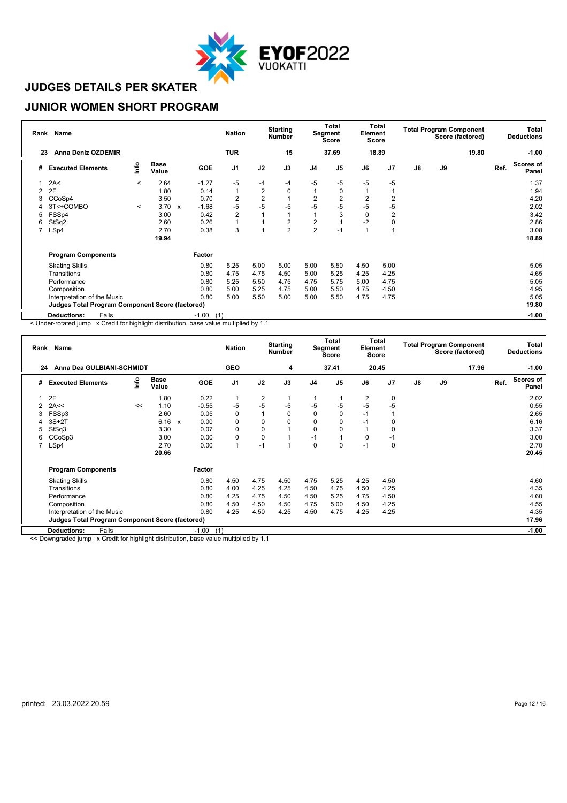

#### **JUNIOR WOMEN SHORT PROGRAM**

| Rank           | <b>Name</b>                                            |         |                                   |            | <b>Nation</b>  |                | <b>Starting</b><br><b>Number</b> |                | Total<br>Segment<br>Score | Element        | Total<br><b>Score</b> |               |    | <b>Total Program Component</b><br>Score (factored) |      | Total<br><b>Deductions</b> |
|----------------|--------------------------------------------------------|---------|-----------------------------------|------------|----------------|----------------|----------------------------------|----------------|---------------------------|----------------|-----------------------|---------------|----|----------------------------------------------------|------|----------------------------|
| 23             | <b>Anna Deniz OZDEMIR</b>                              |         |                                   |            | <b>TUR</b>     |                | 15                               |                | 37.69                     |                | 18.89                 |               |    | 19.80                                              |      | $-1.00$                    |
| #              | <b>Executed Elements</b>                               | lnfo    | <b>Base</b><br>Value              | <b>GOE</b> | J <sub>1</sub> | J2             | J3                               | J <sub>4</sub> | J <sub>5</sub>            | J6             | J7                    | $\mathsf{J}8$ | J9 |                                                    | Ref. | <b>Scores of</b><br>Panel  |
|                | 2A<                                                    | $\,<$   | 2.64                              | $-1.27$    | -5             | $-4$           | $-4$                             | -5             | -5                        | -5             | $-5$                  |               |    |                                                    |      | 1.37                       |
| $\overline{2}$ | 2F                                                     |         | 1.80                              | 0.14       | $\overline{1}$ | $\overline{2}$ | 0                                |                | $\mathbf 0$               |                |                       |               |    |                                                    |      | 1.94                       |
| 3              | CCoSp4                                                 |         | 3.50                              | 0.70       | 2              | $\overline{2}$ |                                  | 2              | 2                         | $\overline{2}$ | $\overline{2}$        |               |    |                                                    |      | 4.20                       |
|                | 3T<+COMBO                                              | $\prec$ | 3.70<br>$\boldsymbol{\mathsf{x}}$ | $-1.68$    | -5             | $-5$           | -5                               | -5             | -5                        | -5             | -5                    |               |    |                                                    |      | 2.02                       |
| 5              | FSSp4                                                  |         | 3.00                              | 0.42       | $\overline{2}$ |                |                                  |                | 3                         | 0              | $\overline{2}$        |               |    |                                                    |      | 3.42                       |
| 6              | StSq2                                                  |         | 2.60                              | 0.26       |                |                | $\overline{c}$                   | 2              |                           | $-2$           | 0                     |               |    |                                                    |      | 2.86                       |
|                | LSp4                                                   |         | 2.70                              | 0.38       | 3              |                | $\overline{2}$                   | $\overline{2}$ | $-1$                      |                |                       |               |    |                                                    |      | 3.08                       |
|                |                                                        |         | 19.94                             |            |                |                |                                  |                |                           |                |                       |               |    |                                                    |      | 18.89                      |
|                | <b>Program Components</b>                              |         |                                   | Factor     |                |                |                                  |                |                           |                |                       |               |    |                                                    |      |                            |
|                | <b>Skating Skills</b>                                  |         |                                   | 0.80       | 5.25           | 5.00           | 5.00                             | 5.00           | 5.50                      | 4.50           | 5.00                  |               |    |                                                    |      | 5.05                       |
|                | Transitions                                            |         |                                   | 0.80       | 4.75           | 4.75           | 4.50                             | 5.00           | 5.25                      | 4.25           | 4.25                  |               |    |                                                    |      | 4.65                       |
|                | Performance                                            |         |                                   | 0.80       | 5.25           | 5.50           | 4.75                             | 4.75           | 5.75                      | 5.00           | 4.75                  |               |    |                                                    |      | 5.05                       |
|                | Composition                                            |         |                                   | 0.80       | 5.00           | 5.25           | 4.75                             | 5.00           | 5.50                      | 4.75           | 4.50                  |               |    |                                                    |      | 4.95                       |
|                | Interpretation of the Music                            |         |                                   | 0.80       | 5.00           | 5.50           | 5.00                             | 5.00           | 5.50                      | 4.75           | 4.75                  |               |    |                                                    |      | 5.05                       |
|                | <b>Judges Total Program Component Score (factored)</b> |         |                                   |            |                |                |                                  |                |                           |                |                       |               |    |                                                    |      | 19.80                      |
|                | <b>Deductions:</b><br>Falls                            |         |                                   | $-1.00$    | (1)            |                |                                  |                |                           |                |                       |               |    |                                                    |      | $-1.00$                    |

< Under-rotated jump x Credit for highlight distribution, base value multiplied by 1.1

|    | Rank Name                                              |      |               |              |         | <b>Nation</b>  |                | <b>Starting</b><br><b>Number</b> |                | Total<br>Segment<br><b>Score</b> | Element  | Total<br><b>Score</b> |               |    | <b>Total Program Component</b><br>Score (factored) |      | Total<br><b>Deductions</b> |
|----|--------------------------------------------------------|------|---------------|--------------|---------|----------------|----------------|----------------------------------|----------------|----------------------------------|----------|-----------------------|---------------|----|----------------------------------------------------|------|----------------------------|
| 24 | Anna Dea GULBIANI-SCHMIDT                              |      |               |              |         | <b>GEO</b>     |                | 4                                |                | 37.41                            |          | 20.45                 |               |    | 17.96                                              |      | $-1.00$                    |
| #  | <b>Executed Elements</b>                               | Info | Base<br>Value |              | GOE     | J <sub>1</sub> | J2             | J3                               | J <sub>4</sub> | J <sub>5</sub>                   | J6       | J <sub>7</sub>        | $\mathsf{J}8$ | J9 |                                                    | Ref. | <b>Scores of</b><br>Panel  |
|    | 2F                                                     |      | 1.80          |              | 0.22    | $\overline{1}$ | $\overline{2}$ |                                  |                |                                  | 2        | 0                     |               |    |                                                    |      | 2.02                       |
| 2  | 2A<<                                                   | <<   | 1.10          |              | $-0.55$ | -5             | $-5$           | $-5$                             | $-5$           | -5                               | $-5$     | -5                    |               |    |                                                    |      | 0.55                       |
| 3  | FSSp3                                                  |      | 2.60          |              | 0.05    | 0              |                | 0                                | $\mathbf 0$    |                                  | $-1$     |                       |               |    |                                                    |      | 2.65                       |
| 4  | $3S+2T$                                                |      | 6.16          | $\mathbf{x}$ | 0.00    | $\pmb{0}$      | 0              | $\Omega$                         | $\mathbf 0$    |                                  | $-1$     | 0                     |               |    |                                                    |      | 6.16                       |
| 5  | StSq3                                                  |      | 3.30          |              | 0.07    | $\mathbf 0$    | 0              |                                  | $\mathbf 0$    |                                  |          | 0                     |               |    |                                                    |      | 3.37                       |
| 6  | CCoSp3                                                 |      | 3.00          |              | 0.00    | 0              | 0              |                                  | $-1$           |                                  | $\Omega$ | $-1$                  |               |    |                                                    |      | 3.00                       |
|    | LSp4                                                   |      | 2.70          |              | 0.00    | 1              | $-1$           |                                  | $\Omega$       | O                                | $-1$     | 0                     |               |    |                                                    |      | 2.70                       |
|    |                                                        |      | 20.66         |              |         |                |                |                                  |                |                                  |          |                       |               |    |                                                    |      | 20.45                      |
|    | <b>Program Components</b>                              |      |               |              | Factor  |                |                |                                  |                |                                  |          |                       |               |    |                                                    |      |                            |
|    | <b>Skating Skills</b>                                  |      |               |              | 0.80    | 4.50           | 4.75           | 4.50                             | 4.75           | 5.25                             | 4.25     | 4.50                  |               |    |                                                    |      | 4.60                       |
|    | Transitions                                            |      |               |              | 0.80    | 4.00           | 4.25           | 4.25                             | 4.50           | 4.75                             | 4.50     | 4.25                  |               |    |                                                    |      | 4.35                       |
|    | Performance                                            |      |               |              | 0.80    | 4.25           | 4.75           | 4.50                             | 4.50           | 5.25                             | 4.75     | 4.50                  |               |    |                                                    |      | 4.60                       |
|    | Composition                                            |      |               |              | 0.80    | 4.50           | 4.50           | 4.50                             | 4.75           | 5.00                             | 4.50     | 4.25                  |               |    |                                                    |      | 4.55                       |
|    | Interpretation of the Music                            |      |               |              | 0.80    | 4.25           | 4.50           | 4.25                             | 4.50           | 4.75                             | 4.25     | 4.25                  |               |    |                                                    |      | 4.35                       |
|    | <b>Judges Total Program Component Score (factored)</b> |      |               |              |         |                |                |                                  |                |                                  |          |                       |               |    |                                                    |      | 17.96                      |
|    | Falls<br><b>Deductions:</b>                            |      |               |              | $-1.00$ | (1)            |                |                                  |                |                                  |          |                       |               |    |                                                    |      | $-1.00$                    |

<< Downgraded jump x Credit for highlight distribution, base value multiplied by 1.1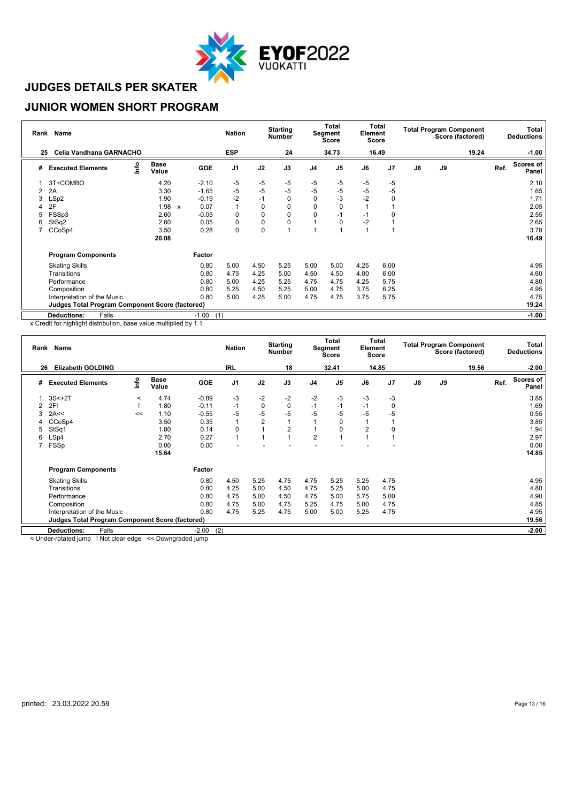

#### **JUNIOR WOMEN SHORT PROGRAM**

| Rank | Name                                                   |                      |              |            | <b>Nation</b>  |             | <b>Starting</b><br><b>Number</b> |                | <b>Total</b><br>Segment<br>Score | Element | Total<br>Score |               |    | <b>Total Program Component</b><br>Score (factored) |      | Total<br><b>Deductions</b> |
|------|--------------------------------------------------------|----------------------|--------------|------------|----------------|-------------|----------------------------------|----------------|----------------------------------|---------|----------------|---------------|----|----------------------------------------------------|------|----------------------------|
| 25   | Celia Vandhana GARNACHO                                |                      |              |            | <b>ESP</b>     |             | 24                               |                | 34.73                            |         | 16.49          |               |    | 19.24                                              |      | $-1.00$                    |
| #    | lnfo<br><b>Executed Elements</b>                       | <b>Base</b><br>Value |              | <b>GOE</b> | J <sub>1</sub> | J2          | J3                               | J <sub>4</sub> | J <sub>5</sub>                   | J6      | J <sub>7</sub> | $\mathsf{J}8$ | J9 |                                                    | Ref. | <b>Scores of</b><br>Panel  |
|      | 3T+COMBO                                               | 4.20                 |              | $-2.10$    | -5             | -5          | $-5$                             | -5             | -5                               | -5      | -5             |               |    |                                                    |      | 2.10                       |
| 2    | 2A                                                     | 3.30                 |              | $-1.65$    | $-5$           | $-5$        | $-5$                             | $-5$           | -5                               | -5      | -5             |               |    |                                                    |      | 1.65                       |
| 3    | LSp2                                                   | 1.90                 |              | $-0.19$    | $-2$           | $-1$        | 0                                | 0              | $-3$                             | $-2$    | $\mathbf 0$    |               |    |                                                    |      | 1.71                       |
|      | 2F                                                     | 1.98                 | $\mathsf{x}$ | 0.07       | 1              | $\mathbf 0$ | 0                                | 0              | O                                |         |                |               |    |                                                    |      | 2.05                       |
| 5    | FSSp3                                                  | 2.60                 |              | $-0.05$    | 0              | 0           | $\Omega$                         | $\Omega$       | -1                               | $-1$    | 0              |               |    |                                                    |      | 2.55                       |
| 6    | StSq2                                                  | 2.60                 |              | 0.05       | 0              | $\mathbf 0$ | 0                                |                | O                                | $-2$    |                |               |    |                                                    |      | 2.65                       |
|      | CCoSp4                                                 | 3.50                 |              | 0.28       | 0              | $\mathbf 0$ |                                  |                |                                  |         |                |               |    |                                                    |      | 3.78                       |
|      |                                                        | 20.08                |              |            |                |             |                                  |                |                                  |         |                |               |    |                                                    |      | 16.49                      |
|      | <b>Program Components</b>                              |                      |              | Factor     |                |             |                                  |                |                                  |         |                |               |    |                                                    |      |                            |
|      | <b>Skating Skills</b>                                  |                      |              | 0.80       | 5.00           | 4.50        | 5.25                             | 5.00           | 5.00                             | 4.25    | 6.00           |               |    |                                                    |      | 4.95                       |
|      | Transitions                                            |                      |              | 0.80       | 4.75           | 4.25        | 5.00                             | 4.50           | 4.50                             | 4.00    | 6.00           |               |    |                                                    |      | 4.60                       |
|      | Performance                                            |                      |              | 0.80       | 5.00           | 4.25        | 5.25                             | 4.75           | 4.75                             | 4.25    | 5.75           |               |    |                                                    |      | 4.80                       |
|      | Composition                                            |                      |              | 0.80       | 5.25           | 4.50        | 5.25                             | 5.00           | 4.75                             | 3.75    | 6.25           |               |    |                                                    |      | 4.95                       |
|      | Interpretation of the Music                            |                      |              | 0.80       | 5.00           | 4.25        | 5.00                             | 4.75           | 4.75                             | 3.75    | 5.75           |               |    |                                                    |      | 4.75                       |
|      | <b>Judges Total Program Component Score (factored)</b> |                      |              |            |                |             |                                  |                |                                  |         |                |               |    |                                                    |      | 19.24                      |
|      | <b>Deductions:</b><br>Falls                            |                      |              | $-1.00$    | (1)            |             |                                  |                |                                  |         |                |               |    |                                                    |      | $-1.00$                    |

x Credit for highlight distribution, base value multiplied by 1.1

| Rank Name |                                                        |         |                      |         | <b>Nation</b>  |                | <b>Starting</b><br><b>Number</b> |                | Total<br>Segment<br><b>Score</b> |                | Total<br>Element<br><b>Score</b> |               |    | <b>Total Program Component</b><br>Score (factored) | Total<br><b>Deductions</b> |                    |  |
|-----------|--------------------------------------------------------|---------|----------------------|---------|----------------|----------------|----------------------------------|----------------|----------------------------------|----------------|----------------------------------|---------------|----|----------------------------------------------------|----------------------------|--------------------|--|
| 26        | <b>Elizabeth GOLDING</b>                               |         |                      |         | <b>IRL</b>     |                | 18                               |                | 32.41                            |                | 14.85                            |               |    | 19.56                                              |                            | $-2.00$            |  |
| #         | <b>Executed Elements</b>                               | lnfo    | <b>Base</b><br>Value | GOE     | J <sub>1</sub> | J2             | J3                               | J <sub>4</sub> | J <sub>5</sub>                   | J6             | J <sub>7</sub>                   | $\mathsf{J}8$ | J9 |                                                    | Ref.                       | Scores of<br>Panel |  |
|           | $3S<+2T$                                               | $\,<\,$ | 4.74                 | $-0.89$ | -3             | $-2$           | $-2$                             | $-2$           | -3                               | $-3$           | -3                               |               |    |                                                    |                            | 3.85               |  |
|           | 2F!                                                    |         | 1.80                 | $-0.11$ | $-1$           | $\pmb{0}$      | $\mathbf 0$                      | $-1$           | -1                               | $-1$           | 0                                |               |    |                                                    |                            | 1.69               |  |
| 3         | 2A<<                                                   | <<      | 1.10                 | $-0.55$ | -5             | $-5$           | $-5$                             | -5             | $-5$                             | -5             | -5                               |               |    |                                                    |                            | 0.55               |  |
| 4         | CCoSp4                                                 |         | 3.50                 | 0.35    |                | $\overline{2}$ |                                  |                | $\Omega$                         |                |                                  |               |    |                                                    |                            | 3.85               |  |
| 5         | StSq1                                                  |         | 1.80                 | 0.14    | 0              |                | 2                                |                | $\Omega$                         | $\overline{2}$ | 0                                |               |    |                                                    |                            | 1.94               |  |
| 6         | LSp4                                                   |         | 2.70                 | 0.27    | $\overline{1}$ |                |                                  | $\overline{2}$ |                                  |                |                                  |               |    |                                                    |                            | 2.97               |  |
|           | FSSp                                                   |         | 0.00                 | 0.00    |                |                |                                  |                |                                  |                |                                  |               |    |                                                    |                            | 0.00               |  |
|           |                                                        |         | 15.64                |         |                |                |                                  |                |                                  |                |                                  |               |    |                                                    |                            | 14.85              |  |
|           | <b>Program Components</b>                              |         |                      | Factor  |                |                |                                  |                |                                  |                |                                  |               |    |                                                    |                            |                    |  |
|           | <b>Skating Skills</b>                                  |         |                      | 0.80    | 4.50           | 5.25           | 4.75                             | 4.75           | 5.25                             | 5.25           | 4.75                             |               |    |                                                    |                            | 4.95               |  |
|           | Transitions                                            |         |                      | 0.80    | 4.25           | 5.00           | 4.50                             | 4.75           | 5.25                             | 5.00           | 4.75                             |               |    |                                                    |                            | 4.80               |  |
|           | Performance                                            |         |                      | 0.80    | 4.75           | 5.00           | 4.50                             | 4.75           | 5.00                             | 5.75           | 5.00                             |               |    |                                                    |                            | 4.90               |  |
|           | Composition                                            |         |                      | 0.80    | 4.75           | 5.00           | 4.75                             | 5.25           | 4.75                             | 5.00           | 4.75                             |               |    |                                                    |                            | 4.85               |  |
|           | Interpretation of the Music                            |         |                      | 0.80    | 4.75           | 5.25           | 4.75                             | 5.00           | 5.00                             | 5.25           | 4.75                             |               |    |                                                    |                            | 4.95               |  |
|           | <b>Judges Total Program Component Score (factored)</b> |         |                      |         |                |                |                                  |                |                                  |                |                                  |               |    |                                                    |                            | 19.56              |  |
|           | <b>Deductions:</b><br>Falls                            |         |                      | $-2.00$ | (2)            |                |                                  |                |                                  |                |                                  |               |    |                                                    |                            | $-2.00$            |  |

< Under-rotated jump ! Not clear edge << Downgraded jump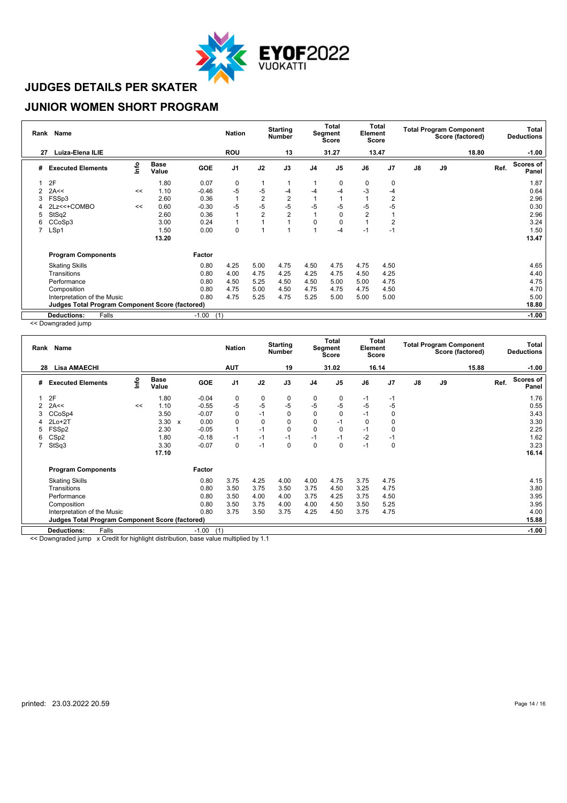

#### **JUNIOR WOMEN SHORT PROGRAM**

| Rank | <b>Name</b>                                            |      |                      |            | <b>Nation</b>  |                | <b>Starting</b><br><b>Number</b> |                | <b>Total</b><br>Total<br>Element<br>Segment<br><b>Score</b><br>Score |                | <b>Total Program Component</b><br>Score (factored) |    |    | Total<br><b>Deductions</b> |      |                           |
|------|--------------------------------------------------------|------|----------------------|------------|----------------|----------------|----------------------------------|----------------|----------------------------------------------------------------------|----------------|----------------------------------------------------|----|----|----------------------------|------|---------------------------|
| 27   | Luiza-Elena ILIE                                       |      |                      |            | <b>ROU</b>     |                | 13                               |                | 31.27                                                                |                | 13.47                                              |    |    | 18.80                      |      | $-1.00$                   |
| #    | <b>Executed Elements</b>                               | lnfo | <b>Base</b><br>Value | <b>GOE</b> | J <sub>1</sub> | J2             | J3                               | J <sub>4</sub> | J <sub>5</sub>                                                       | J6             | J <sub>7</sub>                                     | J8 | J9 |                            | Ref. | <b>Scores of</b><br>Panel |
|      | 2F                                                     |      | 1.80                 | 0.07       | 0              |                |                                  |                | 0                                                                    | 0              | $\mathbf 0$                                        |    |    |                            |      | 1.87                      |
| 2    | 2A<<                                                   | <<   | 1.10                 | $-0.46$    | $-5$           | $-5$           | -4                               | $-4$           | -4                                                                   | $-3$           | $-4$                                               |    |    |                            |      | 0.64                      |
| 3    | FSSp3                                                  |      | 2.60                 | 0.36       | $\overline{1}$ | $\overline{2}$ | 2                                |                |                                                                      |                | $\overline{2}$                                     |    |    |                            |      | 2.96                      |
|      | 2Lz<<+COMBO                                            | <<   | 0.60                 | $-0.30$    | $-5$           | $-5$           | $-5$                             | -5             | -5                                                                   | -5             | -5                                                 |    |    |                            |      | 0.30                      |
| 5    | StSq2                                                  |      | 2.60                 | 0.36       |                | $\overline{2}$ | $\overline{2}$                   |                | 0                                                                    | $\overline{2}$ |                                                    |    |    |                            |      | 2.96                      |
| 6    | CCoSp3                                                 |      | 3.00                 | 0.24       |                |                |                                  | $\Omega$       | $\Omega$                                                             |                | $\overline{2}$                                     |    |    |                            |      | 3.24                      |
|      | LSp1                                                   |      | 1.50                 | 0.00       | $\mathbf 0$    |                |                                  |                | -4                                                                   | $-1$           | $-1$                                               |    |    |                            |      | 1.50                      |
|      |                                                        |      | 13.20                |            |                |                |                                  |                |                                                                      |                |                                                    |    |    |                            |      | 13.47                     |
|      | <b>Program Components</b>                              |      |                      | Factor     |                |                |                                  |                |                                                                      |                |                                                    |    |    |                            |      |                           |
|      | <b>Skating Skills</b>                                  |      |                      | 0.80       | 4.25           | 5.00           | 4.75                             | 4.50           | 4.75                                                                 | 4.75           | 4.50                                               |    |    |                            |      | 4.65                      |
|      | Transitions                                            |      |                      | 0.80       | 4.00           | 4.75           | 4.25                             | 4.25           | 4.75                                                                 | 4.50           | 4.25                                               |    |    |                            |      | 4.40                      |
|      | Performance                                            |      |                      | 0.80       | 4.50           | 5.25           | 4.50                             | 4.50           | 5.00                                                                 | 5.00           | 4.75                                               |    |    |                            |      | 4.75                      |
|      | Composition                                            |      |                      | 0.80       | 4.75           | 5.00           | 4.50                             | 4.75           | 4.75                                                                 | 4.75           | 4.50                                               |    |    |                            |      | 4.70                      |
|      | Interpretation of the Music                            |      |                      | 0.80       | 4.75           | 5.25           | 4.75                             | 5.25           | 5.00                                                                 | 5.00           | 5.00                                               |    |    |                            |      | 5.00                      |
|      | <b>Judges Total Program Component Score (factored)</b> |      |                      |            |                |                |                                  |                |                                                                      |                |                                                    |    |    |                            |      | 18.80                     |
|      | <b>Deductions:</b><br>Falls                            |      |                      | $-1.00$    | (1)            |                |                                  |                |                                                                      |                |                                                    |    |    |                            |      | $-1.00$                   |

<< Downgraded jump

| Rank           | Name                                                   |      |                      |                                   | <b>Nation</b>  |             | <b>Starting</b><br><b>Number</b> |                | Total<br>Segment<br><b>Score</b> | Element  | Total<br><b>Score</b> |               |    | <b>Total Program Component</b><br>Score (factored) |      | Total<br><b>Deductions</b> |
|----------------|--------------------------------------------------------|------|----------------------|-----------------------------------|----------------|-------------|----------------------------------|----------------|----------------------------------|----------|-----------------------|---------------|----|----------------------------------------------------|------|----------------------------|
| 28             | <b>Lisa AMAECHI</b>                                    |      |                      |                                   | <b>AUT</b>     |             | 19                               |                | 31.02                            |          | 16.14                 |               |    | 15.88                                              |      | $-1.00$                    |
| #              | <b>Executed Elements</b>                               | lnfo | <b>Base</b><br>Value | GOE                               | J <sub>1</sub> | J2          | J3                               | J <sub>4</sub> | J <sub>5</sub>                   | J6       | J <sub>7</sub>        | $\mathsf{J}8$ | J9 |                                                    | Ref. | Scores of<br>Panel         |
|                | 2F                                                     |      | 1.80                 | $-0.04$                           | 0              | 0           | 0                                | 0              | 0                                | -1       | -1                    |               |    |                                                    |      | 1.76                       |
| 2              | 2A<<                                                   | <<   | 1.10                 | $-0.55$                           | $-5$           | $-5$        | $-5$                             | $-5$           | $-5$                             | -5       | -5                    |               |    |                                                    |      | 0.55                       |
|                | CCoSp4                                                 |      | 3.50                 | $-0.07$                           | 0              | $-1$        | $\Omega$                         | 0              | $\Omega$                         | $-1$     | 0                     |               |    |                                                    |      | 3.43                       |
|                | $2Lo+2T$                                               |      | 3.30                 | 0.00<br>$\boldsymbol{\mathsf{x}}$ | $\mathbf 0$    | $\mathbf 0$ | 0                                | 0              | $-1$                             | $\Omega$ |                       |               |    |                                                    |      | 3.30                       |
| 5              | FSSp2                                                  |      | 2.30                 | $-0.05$                           | 1              | $-1$        | $\Omega$                         | $\Omega$       | $\Omega$                         | $-1$     | C                     |               |    |                                                    |      | 2.25                       |
| 6              | CS <sub>p2</sub>                                       |      | 1.80                 | $-0.18$                           | $-1$           | $-1$        | $-1$                             | $-1$           | $-1$                             | $-2$     | $-1$                  |               |    |                                                    |      | 1.62                       |
| $\overline{7}$ | StSq3                                                  |      | 3.30                 | $-0.07$                           | 0              | $-1$        | $\Omega$                         | 0              | $\Omega$                         | $-1$     | $\mathbf 0$           |               |    |                                                    |      | 3.23                       |
|                |                                                        |      | 17.10                |                                   |                |             |                                  |                |                                  |          |                       |               |    |                                                    |      | 16.14                      |
|                | <b>Program Components</b>                              |      |                      | Factor                            |                |             |                                  |                |                                  |          |                       |               |    |                                                    |      |                            |
|                | <b>Skating Skills</b>                                  |      |                      | 0.80                              | 3.75           | 4.25        | 4.00                             | 4.00           | 4.75                             | 3.75     | 4.75                  |               |    |                                                    |      | 4.15                       |
|                | Transitions                                            |      |                      | 0.80                              | 3.50           | 3.75        | 3.50                             | 3.75           | 4.50                             | 3.25     | 4.75                  |               |    |                                                    |      | 3.80                       |
|                | Performance                                            |      |                      | 0.80                              | 3.50           | 4.00        | 4.00                             | 3.75           | 4.25                             | 3.75     | 4.50                  |               |    |                                                    |      | 3.95                       |
|                | Composition                                            |      |                      | 0.80                              | 3.50           | 3.75        | 4.00                             | 4.00           | 4.50                             | 3.50     | 5.25                  |               |    |                                                    |      | 3.95                       |
|                | Interpretation of the Music                            |      |                      | 0.80                              | 3.75           | 3.50        | 3.75                             | 4.25           | 4.50                             | 3.75     | 4.75                  |               |    |                                                    |      | 4.00                       |
|                | <b>Judges Total Program Component Score (factored)</b> |      |                      |                                   |                |             |                                  |                |                                  |          |                       |               |    |                                                    |      | 15.88                      |
|                | Falls<br><b>Deductions:</b>                            |      |                      | $-1.00$                           | (1)            |             |                                  |                |                                  |          |                       |               |    |                                                    |      | $-1.00$                    |

<< Downgraded jump x Credit for highlight distribution, base value multiplied by 1.1

 $\overline{\phantom{a}}$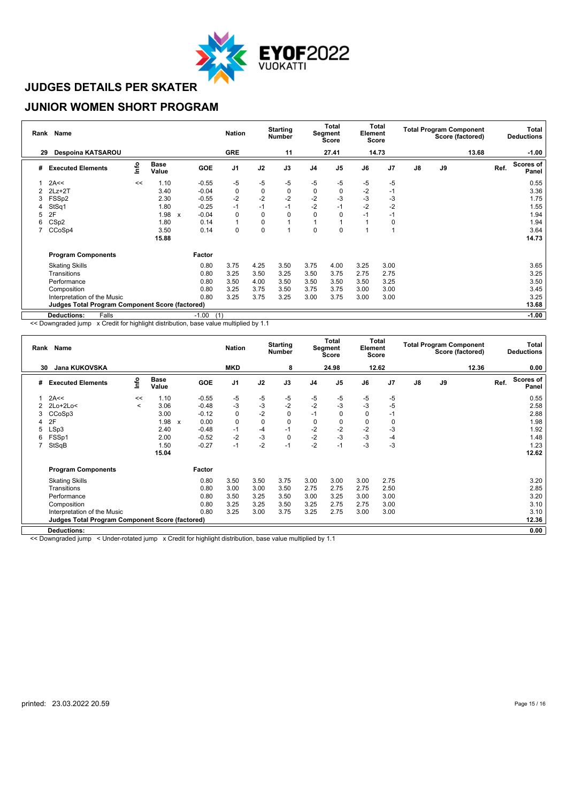

#### **JUNIOR WOMEN SHORT PROGRAM**

|    | Rank Name                                              |      |                      |              |                | <b>Nation</b> |             | <b>Starting</b><br><b>Number</b> |                | <b>Total</b><br>Segment<br><b>Score</b> | Element | Total<br><b>Score</b> |               |    | <b>Total Program Component</b><br>Score (factored) |      | Total<br><b>Deductions</b> |
|----|--------------------------------------------------------|------|----------------------|--------------|----------------|---------------|-------------|----------------------------------|----------------|-----------------------------------------|---------|-----------------------|---------------|----|----------------------------------------------------|------|----------------------------|
| 29 | Despoina KATSAROU                                      |      |                      |              |                | <b>GRE</b>    |             | 11                               |                | 27.41                                   |         | 14.73                 |               |    | 13.68                                              |      | $-1.00$                    |
| #  | <b>Executed Elements</b>                               | lnfo | <b>Base</b><br>Value |              | GOE            | J1            | J2          | J3                               | J <sub>4</sub> | J <sub>5</sub>                          | J6      | J <sub>7</sub>        | $\mathsf{J}8$ | J9 |                                                    | Ref. | <b>Scores of</b><br>Panel  |
|    | 2A<<                                                   | <<   | 1.10                 |              | $-0.55$        | $-5$          | $-5$        | $-5$                             | $-5$           | -5                                      | -5      | $-5$                  |               |    |                                                    |      | 0.55                       |
| 2  | $2Lz+2T$                                               |      | 3.40                 |              | $-0.04$        | $\pmb{0}$     | $\mathbf 0$ | 0                                | 0              | $\Omega$                                | $-2$    | $-1$                  |               |    |                                                    |      | 3.36                       |
| 3  | FSSp2                                                  |      | 2.30                 |              | $-0.55$        | $-2$          | $-2$        | $-2$                             | $-2$           | -3                                      | $-3$    | -3                    |               |    |                                                    |      | 1.75                       |
|    | StSq1                                                  |      | 1.80                 |              | $-0.25$        | $-1$          | $-1$        | $-1$                             | $-2$           | $-1$                                    | $-2$    | $-2$                  |               |    |                                                    |      | 1.55                       |
| 5  | 2F                                                     |      | 1.98                 | $\mathsf{x}$ | $-0.04$        | 0             | 0           | $\Omega$                         | $\Omega$       | O                                       | $-1$    | -1                    |               |    |                                                    |      | 1.94                       |
| 6  | CS <sub>p2</sub>                                       |      | 1.80                 |              | 0.14           | 1             | 0           |                                  |                |                                         |         | 0                     |               |    |                                                    |      | 1.94                       |
|    | CCoSp4                                                 |      | 3.50                 |              | 0.14           | 0             | $\mathbf 0$ |                                  | 0              | 0                                       |         |                       |               |    |                                                    |      | 3.64                       |
|    |                                                        |      | 15.88                |              |                |               |             |                                  |                |                                         |         |                       |               |    |                                                    |      | 14.73                      |
|    | <b>Program Components</b>                              |      |                      |              | Factor         |               |             |                                  |                |                                         |         |                       |               |    |                                                    |      |                            |
|    | <b>Skating Skills</b>                                  |      |                      |              | 0.80           | 3.75          | 4.25        | 3.50                             | 3.75           | 4.00                                    | 3.25    | 3.00                  |               |    |                                                    |      | 3.65                       |
|    | Transitions                                            |      |                      |              | 0.80           | 3.25          | 3.50        | 3.25                             | 3.50           | 3.75                                    | 2.75    | 2.75                  |               |    |                                                    |      | 3.25                       |
|    | Performance                                            |      |                      |              | 0.80           | 3.50          | 4.00        | 3.50                             | 3.50           | 3.50                                    | 3.50    | 3.25                  |               |    |                                                    |      | 3.50                       |
|    | Composition                                            |      |                      |              | 0.80           | 3.25          | 3.75        | 3.50                             | 3.75           | 3.75                                    | 3.00    | 3.00                  |               |    |                                                    |      | 3.45                       |
|    | Interpretation of the Music                            |      |                      |              | 0.80           | 3.25          | 3.75        | 3.25                             | 3.00           | 3.75                                    | 3.00    | 3.00                  |               |    |                                                    |      | 3.25                       |
|    | <b>Judges Total Program Component Score (factored)</b> |      |                      |              |                |               |             |                                  |                |                                         |         |                       |               |    |                                                    |      | 13.68                      |
|    | <b>Deductions:</b><br>Falls                            |      |                      |              | $-1.00$<br>(1) |               |             |                                  |                |                                         |         |                       |               |    |                                                    |      | $-1.00$                    |

<< Downgraded jump x Credit for highlight distribution, base value multiplied by 1.1

| Rank Name |                                                        |         |               |              |            | <b>Nation</b>  |           | <b>Starting</b><br>Number |                | Total<br>Segment<br><b>Score</b> |      | Total<br>Element<br><b>Score</b> |               | <b>Total Program Component</b><br>Score (factored) |       |      | Total<br><b>Deductions</b> |
|-----------|--------------------------------------------------------|---------|---------------|--------------|------------|----------------|-----------|---------------------------|----------------|----------------------------------|------|----------------------------------|---------------|----------------------------------------------------|-------|------|----------------------------|
| 30        | <b>Jana KUKOVSKA</b>                                   |         |               |              |            | <b>MKD</b>     |           | 8                         |                | 24.98                            |      | 12.62                            |               |                                                    | 12.36 |      | 0.00                       |
| #         | <b>Executed Elements</b>                               | lnfo    | Base<br>Value |              | <b>GOE</b> | J <sub>1</sub> | J2        | J3                        | J <sub>4</sub> | J5                               | J6   | J <sub>7</sub>                   | $\mathsf{J}8$ | J9                                                 |       | Ref. | Scores of<br>Panel         |
|           | 2A<<                                                   | <<      | 1.10          |              | $-0.55$    | -5             | $-5$      | $-5$                      | -5             | -5                               | -5   | $-5$                             |               |                                                    |       |      | 0.55                       |
| 2         | $2Lo+2Lo<$                                             | $\,<\,$ | 3.06          |              | $-0.48$    | -3             | $-3$      | $-2$                      | $-2$           | $-3$                             | $-3$ | $-5$                             |               |                                                    |       |      | 2.58                       |
| 3         | CCoSp3                                                 |         | 3.00          |              | $-0.12$    | 0              | $-2$      | 0                         | $-1$           | 0                                | 0    | $-1$                             |               |                                                    |       |      | 2.88                       |
| 4         | 2F                                                     |         | 1.98          | $\mathsf{x}$ | 0.00       | $\pmb{0}$      | $\pmb{0}$ | 0                         | 0              |                                  | 0    | 0                                |               |                                                    |       |      | 1.98                       |
| 5         | LSp3                                                   |         | 2.40          |              | $-0.48$    | $-1$           | $-4$      | $-1$                      | $-2$           | $-2$                             | $-2$ | -3                               |               |                                                    |       |      | 1.92                       |
| 6         | FSSp1                                                  |         | 2.00          |              | $-0.52$    | $-2$           | $-3$      | $\mathbf 0$               | $-2$           | $-3$                             | $-3$ | $-4$                             |               |                                                    |       |      | 1.48                       |
|           | StSqB                                                  |         | 1.50          |              | $-0.27$    | $-1$           | $-2$      | $-1$                      | $-2$           | -1                               | -3   | $-3$                             |               |                                                    |       |      | 1.23                       |
|           |                                                        |         | 15.04         |              |            |                |           |                           |                |                                  |      |                                  |               |                                                    |       |      | 12.62                      |
|           | <b>Program Components</b>                              |         |               |              | Factor     |                |           |                           |                |                                  |      |                                  |               |                                                    |       |      |                            |
|           | <b>Skating Skills</b>                                  |         |               |              | 0.80       | 3.50           | 3.50      | 3.75                      | 3.00           | 3.00                             | 3.00 | 2.75                             |               |                                                    |       |      | 3.20                       |
|           | Transitions                                            |         |               |              | 0.80       | 3.00           | 3.00      | 3.50                      | 2.75           | 2.75                             | 2.75 | 2.50                             |               |                                                    |       |      | 2.85                       |
|           | Performance                                            |         |               |              | 0.80       | 3.50           | 3.25      | 3.50                      | 3.00           | 3.25                             | 3.00 | 3.00                             |               |                                                    |       |      | 3.20                       |
|           | Composition                                            |         |               |              | 0.80       | 3.25           | 3.25      | 3.50                      | 3.25           | 2.75                             | 2.75 | 3.00                             |               |                                                    |       |      | 3.10                       |
|           | Interpretation of the Music                            |         |               |              | 0.80       | 3.25           | 3.00      | 3.75                      | 3.25           | 2.75                             | 3.00 | 3.00                             |               |                                                    |       |      | 3.10                       |
|           | <b>Judges Total Program Component Score (factored)</b> |         |               |              |            |                |           |                           |                |                                  |      |                                  |               |                                                    |       |      | 12.36                      |
|           | <b>Deductions:</b>                                     |         |               |              |            |                |           |                           |                |                                  |      |                                  |               |                                                    |       |      | 0.00                       |

<< Downgraded jump < Under-rotated jump x Credit for highlight distribution, base value multiplied by 1.1